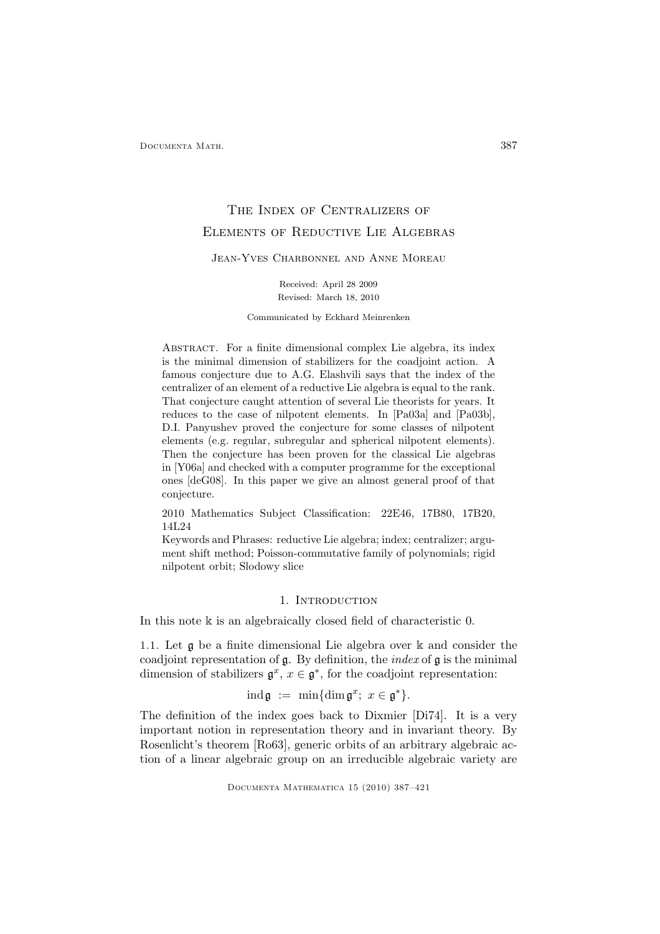# THE INDEX OF CENTRALIZERS OF Elements of Reductive Lie Algebras

Jean-Yves Charbonnel and Anne Moreau

Received: April 28 2009 Revised: March 18, 2010

Communicated by Eckhard Meinrenken

Abstract. For a finite dimensional complex Lie algebra, its index is the minimal dimension of stabilizers for the coadjoint action. A famous conjecture due to A.G. Elashvili says that the index of the centralizer of an element of a reductive Lie algebra is equal to the rank. That conjecture caught attention of several Lie theorists for years. It reduces to the case of nilpotent elements. In [Pa03a] and [Pa03b], D.I. Panyushev proved the conjecture for some classes of nilpotent elements (e.g. regular, subregular and spherical nilpotent elements). Then the conjecture has been proven for the classical Lie algebras in [Y06a] and checked with a computer programme for the exceptional ones [deG08]. In this paper we give an almost general proof of that conjecture.

2010 Mathematics Subject Classification: 22E46, 17B80, 17B20, 14L24

Keywords and Phrases: reductive Lie algebra; index; centralizer; argument shift method; Poisson-commutative family of polynomials; rigid nilpotent orbit; Slodowy slice

## 1. INTRODUCTION

In this note k is an algebraically closed field of characteristic 0.

1.1. Let g be a finite dimensional Lie algebra over k and consider the coadjoint representation of  $\mathfrak g$ . By definition, the *index* of  $\mathfrak g$  is the minimal dimension of stabilizers  $\mathfrak{g}^x$ ,  $x \in \mathfrak{g}^*$ , for the coadjoint representation:

$$
\mathrm{ind}\,\mathfrak{g} \ := \ \min\{\mathrm{dim}\,\mathfrak{g}^x;\ x\in\mathfrak{g}^*\}.
$$

The definition of the index goes back to Dixmier [Di74]. It is a very important notion in representation theory and in invariant theory. By Rosenlicht's theorem [Ro63], generic orbits of an arbitrary algebraic action of a linear algebraic group on an irreducible algebraic variety are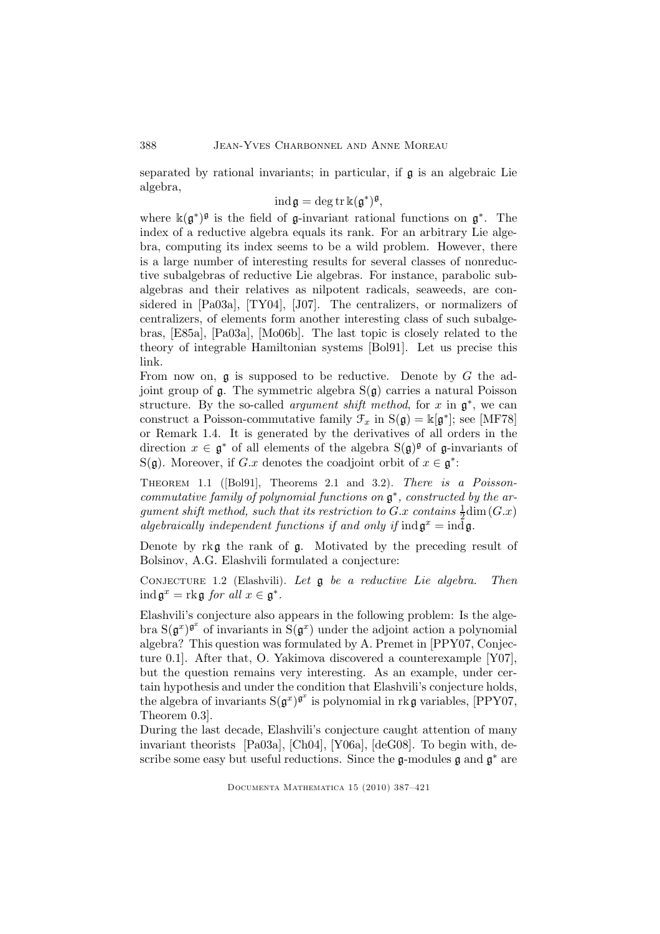separated by rational invariants; in particular, if g is an algebraic Lie algebra,

$$
\operatorname{ind} \mathfrak{g} = \operatorname{deg} \operatorname{tr} \mathbb{k}(\mathfrak{g}^*)^{\mathfrak{g}},
$$

where  $\kappa(\mathfrak{g}^*)^{\mathfrak{g}}$  is the field of  $\mathfrak{g}\text{-invariant rational functions on } \mathfrak{g}^*$ . The index of a reductive algebra equals its rank. For an arbitrary Lie algebra, computing its index seems to be a wild problem. However, there is a large number of interesting results for several classes of nonreductive subalgebras of reductive Lie algebras. For instance, parabolic subalgebras and their relatives as nilpotent radicals, seaweeds, are considered in [Pa03a], [TY04], [J07]. The centralizers, or normalizers of centralizers, of elements form another interesting class of such subalgebras, [E85a], [Pa03a], [Mo06b]. The last topic is closely related to the theory of integrable Hamiltonian systems [Bol91]. Let us precise this link.

From now on,  $\mathfrak g$  is supposed to be reductive. Denote by G the adjoint group of  $\mathfrak g$ . The symmetric algebra  $S(\mathfrak g)$  carries a natural Poisson structure. By the so-called *argument shift method*, for x in  $\mathfrak{g}^*$ , we can construct a Poisson-commutative family  $\mathcal{F}_x$  in  $S(\mathfrak{g}) = \mathbb{k}[\mathfrak{g}^*]$ ; see [MF78] or Remark 1.4. It is generated by the derivatives of all orders in the direction  $x \in \mathfrak{g}^*$  of all elements of the algebra  $S(\mathfrak{g})^{\mathfrak{g}}$  of  $\mathfrak{g}$ -invariants of S(g). Moreover, if G.x denotes the coadjoint orbit of  $x \in \mathfrak{g}^*$ :

Theorem 1.1 ([Bol91], Theorems 2.1 and 3.2). There is a Poissoncommutative family of polynomial functions on  $\mathfrak{g}^*$ , constructed by the argument shift method, such that its restriction to  $G.x$  contains  $\frac{1}{2}$ dim $(G.x)$ algebraically independent functions if and only if  $\text{ind } \mathfrak{g}^x = \text{ind } \mathfrak{g}$ .

Denote by rkg the rank of g. Motivated by the preceding result of Bolsinov, A.G. Elashvili formulated a conjecture:

CONJECTURE 1.2 (Elashvili). Let  $\mathfrak g$  be a reductive Lie algebra. Then  $\operatorname{ind} \mathfrak{g}^x = \operatorname{rk} \mathfrak{g}$  for all  $x \in \mathfrak{g}^*.$ 

Elashvili's conjecture also appears in the following problem: Is the algebra  $S(g^x)^{g^x}$  of invariants in  $S(g^x)$  under the adjoint action a polynomial algebra? This question was formulated by A. Premet in [PPY07, Conjecture 0.1]. After that, O. Yakimova discovered a counterexample [Y07], but the question remains very interesting. As an example, under certain hypothesis and under the condition that Elashvili's conjecture holds, the algebra of invariants  $S(g^x)^{g^x}$  is polynomial in rkg variables, [PPY07, Theorem 0.3].

During the last decade, Elashvili's conjecture caught attention of many invariant theorists [Pa03a], [Ch04], [Y06a], [deG08]. To begin with, describe some easy but useful reductions. Since the  $\mathfrak g$ -modules  $\mathfrak g$  and  $\mathfrak g^*$  are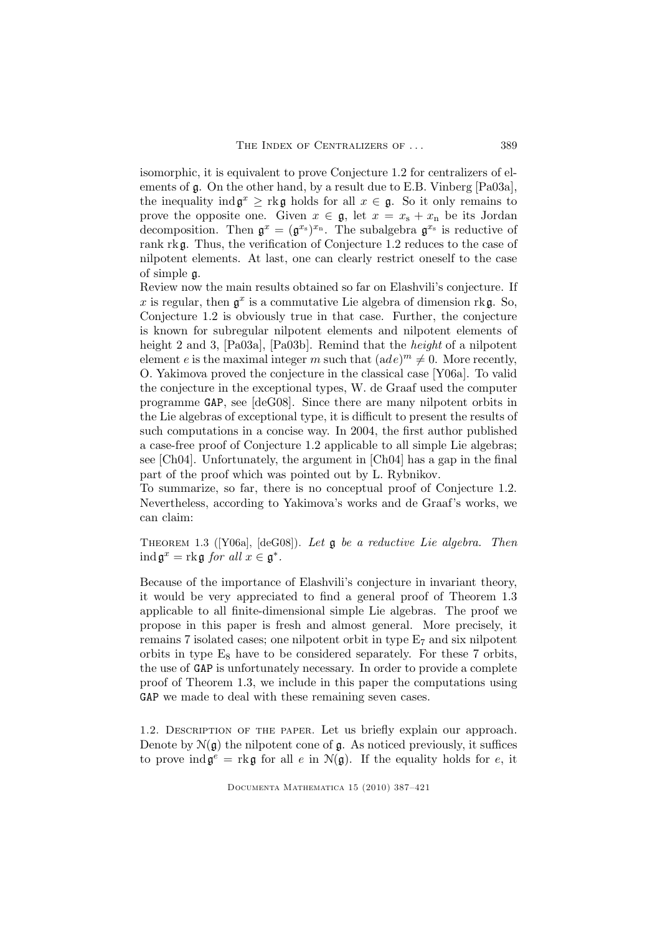isomorphic, it is equivalent to prove Conjecture 1.2 for centralizers of elements of g. On the other hand, by a result due to E.B. Vinberg [Pa03a], the inequality  $\text{ind } \mathfrak{g}^x \geq \text{rk } \mathfrak{g}$  holds for all  $x \in \mathfrak{g}$ . So it only remains to prove the opposite one. Given  $x \in \mathfrak{g}$ , let  $x = x_s + x_n$  be its Jordan decomposition. Then  $\mathfrak{g}^x = (\mathfrak{g}^{x_s})^{x_n}$ . The subalgebra  $\mathfrak{g}^{x_s}$  is reductive of rank rkg. Thus, the verification of Conjecture 1.2 reduces to the case of nilpotent elements. At last, one can clearly restrict oneself to the case of simple g.

Review now the main results obtained so far on Elashvili's conjecture. If x is regular, then  $g^x$  is a commutative Lie algebra of dimension rkg. So, Conjecture 1.2 is obviously true in that case. Further, the conjecture is known for subregular nilpotent elements and nilpotent elements of height 2 and 3, [Pa03a], [Pa03b]. Remind that the *height* of a nilpotent element e is the maximal integer m such that  $(ade)^m \neq 0$ . More recently, O. Yakimova proved the conjecture in the classical case [Y06a]. To valid the conjecture in the exceptional types, W. de Graaf used the computer programme GAP, see [deG08]. Since there are many nilpotent orbits in the Lie algebras of exceptional type, it is difficult to present the results of such computations in a concise way. In 2004, the first author published a case-free proof of Conjecture 1.2 applicable to all simple Lie algebras; see [Ch04]. Unfortunately, the argument in [Ch04] has a gap in the final part of the proof which was pointed out by L. Rybnikov.

To summarize, so far, there is no conceptual proof of Conjecture 1.2. Nevertheless, according to Yakimova's works and de Graaf's works, we can claim:

THEOREM 1.3 ([Y06a], [deG08]). Let  $\mathfrak g$  be a reductive Lie algebra. Then  $\operatorname{ind} \mathfrak{g}^x = \operatorname{rk} \mathfrak{g}$  for all  $x \in \mathfrak{g}^*.$ 

Because of the importance of Elashvili's conjecture in invariant theory, it would be very appreciated to find a general proof of Theorem 1.3 applicable to all finite-dimensional simple Lie algebras. The proof we propose in this paper is fresh and almost general. More precisely, it remains 7 isolated cases; one nilpotent orbit in type E<sup>7</sup> and six nilpotent orbits in type  $E_8$  have to be considered separately. For these 7 orbits, the use of GAP is unfortunately necessary. In order to provide a complete proof of Theorem 1.3, we include in this paper the computations using GAP we made to deal with these remaining seven cases.

1.2. Description of the paper. Let us briefly explain our approach. Denote by  $\mathcal{N}(\mathfrak{g})$  the nilpotent cone of  $\mathfrak{g}$ . As noticed previously, it suffices to prove  $\text{ind}\,\mathfrak{g}^e = \text{rk}\,\mathfrak{g}$  for all  $e$  in  $\mathcal{N}(\mathfrak{g})$ . If the equality holds for  $e$ , it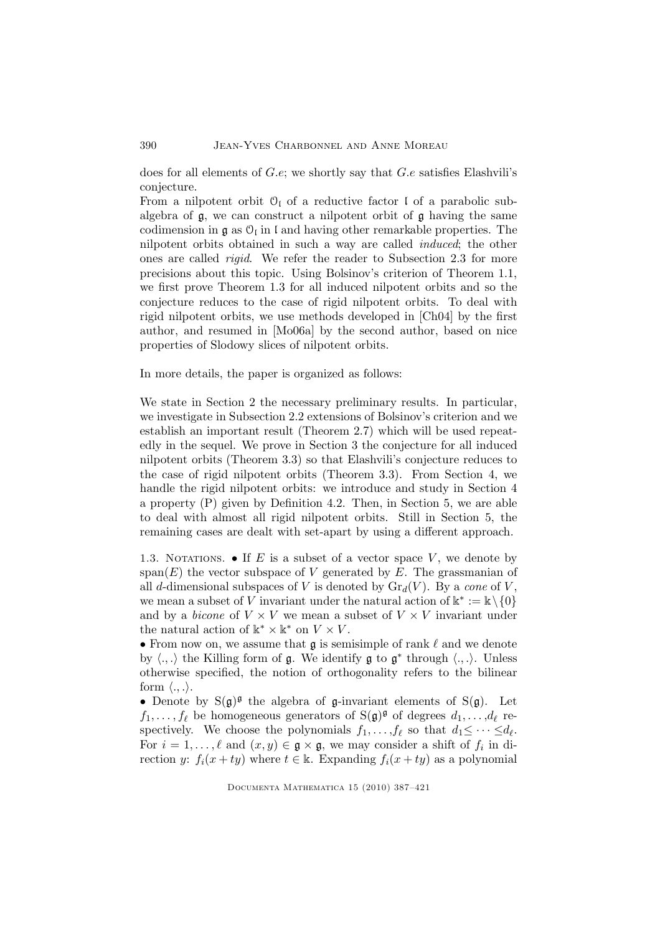#### 390 Jean-Yves Charbonnel and Anne Moreau

does for all elements of G.e; we shortly say that G.e satisfies Elashvili's conjecture.

From a nilpotent orbit  $\mathcal{O}_1$  of a reductive factor I of a parabolic subalgebra of  $\mathfrak{g}$ , we can construct a nilpotent orbit of  $\mathfrak{g}$  having the same codimension in  $\mathfrak g$  as  $\mathfrak O_{\mathfrak l}$  in  $\mathfrak l$  and having other remarkable properties. The nilpotent orbits obtained in such a way are called induced; the other ones are called rigid. We refer the reader to Subsection 2.3 for more precisions about this topic. Using Bolsinov's criterion of Theorem 1.1, we first prove Theorem 1.3 for all induced nilpotent orbits and so the conjecture reduces to the case of rigid nilpotent orbits. To deal with rigid nilpotent orbits, we use methods developed in [Ch04] by the first author, and resumed in [Mo06a] by the second author, based on nice properties of Slodowy slices of nilpotent orbits.

In more details, the paper is organized as follows:

We state in Section 2 the necessary preliminary results. In particular, we investigate in Subsection 2.2 extensions of Bolsinov's criterion and we establish an important result (Theorem 2.7) which will be used repeatedly in the sequel. We prove in Section 3 the conjecture for all induced nilpotent orbits (Theorem 3.3) so that Elashvili's conjecture reduces to the case of rigid nilpotent orbits (Theorem 3.3). From Section 4, we handle the rigid nilpotent orbits: we introduce and study in Section 4 a property (P) given by Definition 4.2. Then, in Section 5, we are able to deal with almost all rigid nilpotent orbits. Still in Section 5, the remaining cases are dealt with set-apart by using a different approach.

1.3. NOTATIONS.  $\bullet$  If E is a subset of a vector space V, we denote by span(E) the vector subspace of V generated by E. The grassmanian of all d-dimensional subspaces of V is denoted by  $\mathrm{Gr}_d(V)$ . By a cone of V, we mean a subset of V invariant under the natural action of  $\mathbb{k}^* := \mathbb{k} \setminus \{0\}$ and by a *bicone* of  $V \times V$  we mean a subset of  $V \times V$  invariant under the natural action of  $\mathbb{k}^* \times \mathbb{k}^*$  on  $V \times V$ .

• From now on, we assume that  $\mathfrak g$  is semisimple of rank  $\ell$  and we denote by  $\langle .,.\rangle$  the Killing form of  $\mathfrak g$ . We identify  $\mathfrak g$  to  $\mathfrak g^*$  through  $\langle .,.\rangle$ . Unless otherwise specified, the notion of orthogonality refers to the bilinear form  $\langle \ldots \rangle$ .

• Denote by  $S(g)^g$  the algebra of g-invariant elements of  $S(g)$ . Let  $f_1, \ldots, f_\ell$  be homogeneous generators of  $S(\mathfrak{g})^{\mathfrak{g}}$  of degrees  $d_1, \ldots, d_\ell$  respectively. We choose the polynomials  $f_1, \ldots, f_\ell$  so that  $d_1 \leq \cdots \leq d_\ell$ . For  $i = 1, \ldots, \ell$  and  $(x, y) \in \mathfrak{g} \times \mathfrak{g}$ , we may consider a shift of  $f_i$  in direction y:  $f_i(x + ty)$  where  $t \in \mathbb{k}$ . Expanding  $f_i(x + ty)$  as a polynomial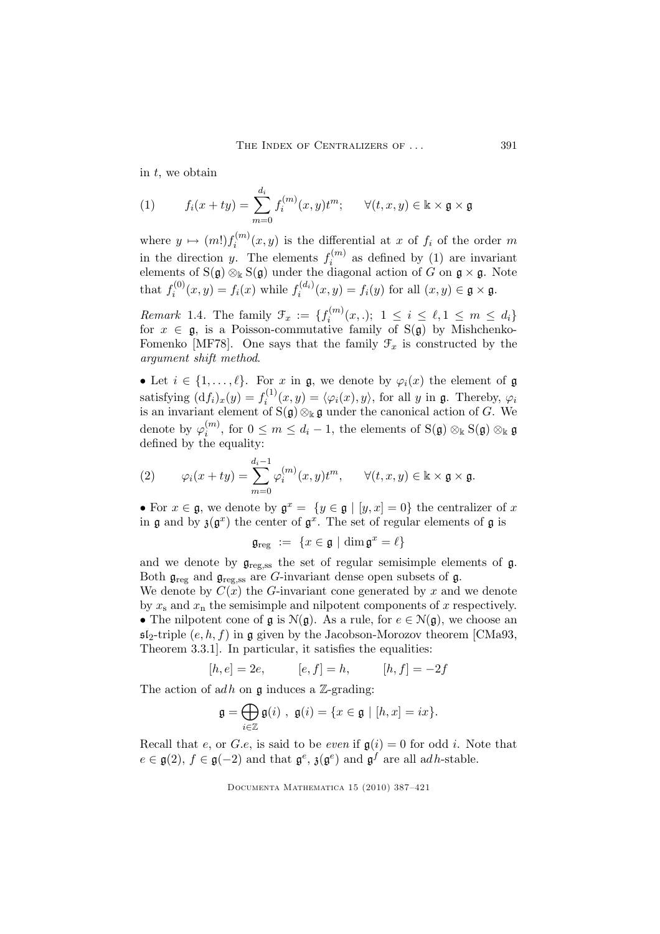in  $t$ , we obtain

(1) 
$$
f_i(x + ty) = \sum_{m=0}^{d_i} f_i^{(m)}(x, y)t^m; \quad \forall (t, x, y) \in \mathbb{k} \times \mathfrak{g} \times \mathfrak{g}
$$

where  $y \mapsto (m!) f_i^{(m)}$  $i^{(m)}(x,y)$  is the differential at x of  $f_i$  of the order m in the direction y. The elements  $f_i^{(m)}$  $i^{(m)}$  as defined by (1) are invariant elements of S( $\mathfrak{g}$ )  $\otimes_{\Bbbk}$  S( $\mathfrak{g}$ ) under the diagonal action of G on  $\mathfrak{g} \times \mathfrak{g}$ . Note that  $f_i^{(0)}$  $f_i^{(0)}(x, y) = f_i(x)$  while  $f_i^{(d_i)}$  $i^{(a_i)}(x,y) = f_i(y)$  for all  $(x,y) \in \mathfrak{g} \times \mathfrak{g}$ .

*Remark* 1.4. The family  $\mathcal{F}_x := \{f_i^{(m)}\}$  $i_i^{(m)}(x,.)$ ;  $1 \leq i \leq \ell, 1 \leq m \leq d_i$ for  $x \in \mathfrak{g}$ , is a Poisson-commutative family of  $S(\mathfrak{g})$  by Mishchenko-Fomenko [MF78]. One says that the family  $\mathcal{F}_x$  is constructed by the argument shift method.

• Let  $i \in \{1, \ldots, \ell\}$ . For x in g, we denote by  $\varphi_i(x)$  the element of g satisfying  $(df<sub>i</sub>)<sub>x</sub>(y) = f<sub>i</sub><sup>(1)</sup>$  $i^{(1)}(x,y) = \langle \varphi_i(x), y \rangle$ , for all y in g. Thereby,  $\varphi_i$ is an invariant element of S $(\mathfrak{g})\otimes_{\Bbbk} \mathfrak{g}$  under the canonical action of G. We denote by  $\varphi_i^{(m)}$  $i^{(m)}$ , for  $0 \leq m \leq d_i - 1$ , the elements of  $S(\mathfrak{g}) \otimes_{\mathbb{k}} S(\mathfrak{g}) \otimes_{\mathbb{k}} \mathfrak{g}$ defined by the equality:

(2) 
$$
\varphi_i(x+ty) = \sum_{m=0}^{d_i-1} \varphi_i^{(m)}(x,y)t^m, \quad \forall (t,x,y) \in \mathbb{k} \times \mathfrak{g} \times \mathfrak{g}.
$$

• For  $x \in \mathfrak{g}$ , we denote by  $\mathfrak{g}^x = \{y \in \mathfrak{g} \mid [y, x] = 0\}$  the centralizer of x in  $\mathfrak g$  and by  $\mathfrak z(\mathfrak g^x)$  the center of  $\mathfrak g^x$ . The set of regular elements of  $\mathfrak g$  is

$$
\mathfrak{g}_{\text{reg}} := \{ x \in \mathfrak{g} \mid \dim \mathfrak{g}^x = \ell \}
$$

and we denote by  $\mathfrak{g}_{\text{reg,ss}}$  the set of regular semisimple elements of  $\mathfrak{g}$ . Both  $\mathfrak{g}_{reg}$  and  $\mathfrak{g}_{reg,ss}$  are G-invariant dense open subsets of  $\mathfrak{g}$ .

We denote by  $C(x)$  the G-invariant cone generated by x and we denote by  $x_s$  and  $x_n$  the semisimple and nilpotent components of x respectively. • The nilpotent cone of  $\mathfrak g$  is  $\mathcal N(\mathfrak g)$ . As a rule, for  $e \in \mathcal N(\mathfrak g)$ , we choose an  $\mathfrak{sl}_2$ -triple  $(e, h, f)$  in g given by the Jacobson-Morozov theorem [CMa93, Theorem 3.3.1]. In particular, it satisfies the equalities:

$$
[h, e] = 2e
$$
,  $[e, f] = h$ ,  $[h, f] = -2f$ 

The action of adh on  $\mathfrak g$  induces a Z-grading:

$$
\mathfrak{g}=\bigoplus_{i\in\mathbb{Z}}\mathfrak{g}(i)\ ,\ \mathfrak{g}(i)=\{x\in\mathfrak{g}\ |\ [h,x]=ix\}.
$$

Recall that e, or G.e, is said to be even if  $g(i) = 0$  for odd i. Note that  $e \in \mathfrak{g}(2), f \in \mathfrak{g}(-2)$  and that  $\mathfrak{g}^e$ ,  $\mathfrak{z}(\mathfrak{g}^e)$  and  $\mathfrak{g}^f$  are all adh-stable.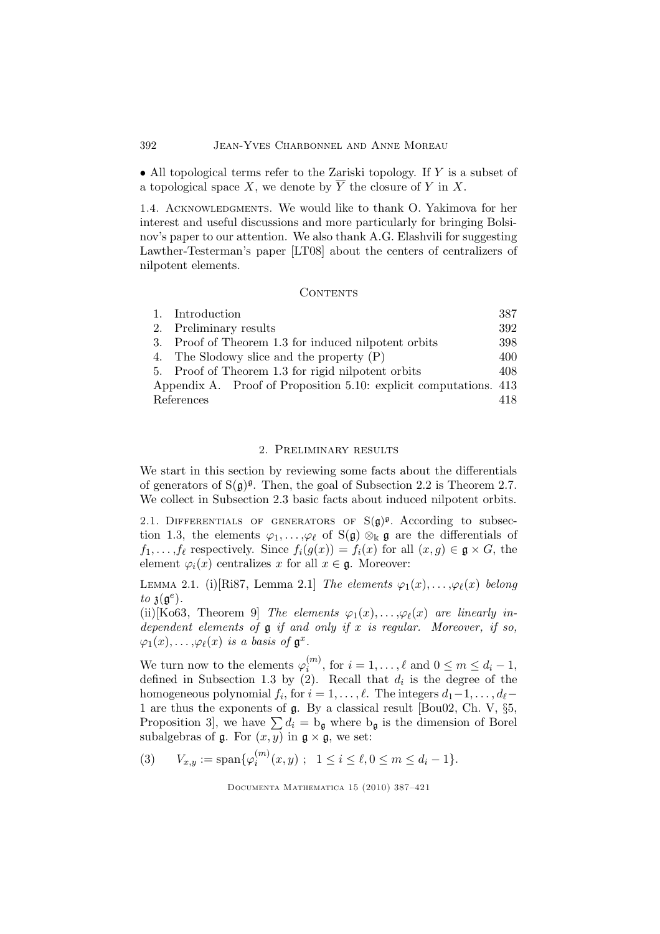### 392 Jean-Yves Charbonnel and Anne Moreau

• All topological terms refer to the Zariski topology. If Y is a subset of a topological space X, we denote by  $\overline{Y}$  the closure of Y in X.

1.4. ACKNOWLEDGMENTS. We would like to thank O. Yakimova for her interest and useful discussions and more particularly for bringing Bolsinov's paper to our attention. We also thank A.G. Elashvili for suggesting Lawther-Testerman's paper [LT08] about the centers of centralizers of nilpotent elements.

#### **CONTENTS**

|            | 1. Introduction                                                   | 387 |
|------------|-------------------------------------------------------------------|-----|
|            | 2. Preliminary results                                            | 392 |
|            | 3. Proof of Theorem 1.3 for induced nilpotent orbits              | 398 |
|            | 4. The Slodowy slice and the property $(P)$                       | 400 |
|            | 5. Proof of Theorem 1.3 for rigid nilpotent orbits                | 408 |
|            | Appendix A. Proof of Proposition 5.10: explicit computations. 413 |     |
| References |                                                                   |     |

#### 2. Preliminary results

We start in this section by reviewing some facts about the differentials of generators of  $S(g)^{\mathfrak{g}}$ . Then, the goal of Subsection 2.2 is Theorem 2.7. We collect in Subsection 2.3 basic facts about induced nilpotent orbits.

2.1. DIFFERENTIALS OF GENERATORS OF  $S(g)^g$ . According to subsection 1.3, the elements  $\varphi_1,\ldots,\varphi_\ell$  of  $S(\mathfrak{g})\otimes_{\mathbb{k}}\mathfrak{g}$  are the differentials of  $f_1,\ldots,f_\ell$  respectively. Since  $f_i(g(x)) = f_i(x)$  for all  $(x,g) \in \mathfrak{g} \times G$ , the element  $\varphi_i(x)$  centralizes x for all  $x \in \mathfrak{g}$ . Moreover:

LEMMA 2.1. (i)[Ri87, Lemma 2.1] The elements  $\varphi_1(x), \ldots, \varphi_\ell(x)$  belong to  $\mathfrak{z}(\mathfrak{g}^e)$ .

(ii)[Ko63, Theorem 9] The elements  $\varphi_1(x), \ldots, \varphi_\ell(x)$  are linearly independent elements of  $\mathfrak g$  if and only if x is regular. Moreover, if so,  $\varphi_1(x), \ldots, \varphi_\ell(x)$  is a basis of  $\mathfrak{g}^x$ .

We turn now to the elements  $\varphi_i^{(m)}$  $\mathcal{L}^{(m)}_{i}$ , for  $i = 1, \ldots, \ell$  and  $0 \leq m \leq d_i - 1$ , defined in Subsection 1.3 by (2). Recall that  $d_i$  is the degree of the homogeneous polynomial  $f_i$ , for  $i = 1, \ldots, \ell$ . The integers  $d_1 - 1, \ldots, d_\ell -$ 1 are thus the exponents of g. By a classical result [Bou02, Ch. V, §5, Proposition 3, we have  $\sum d_i = b_{\mathfrak{g}}$  where  $b_{\mathfrak{g}}$  is the dimension of Borel subalgebras of  $\mathfrak g$ . For  $(x, y)$  in  $\mathfrak g \times \mathfrak g$ , we set:

(3) 
$$
V_{x,y} := \text{span}\{\varphi_i^{(m)}(x,y); 1 \le i \le \ell, 0 \le m \le d_i - 1\}.
$$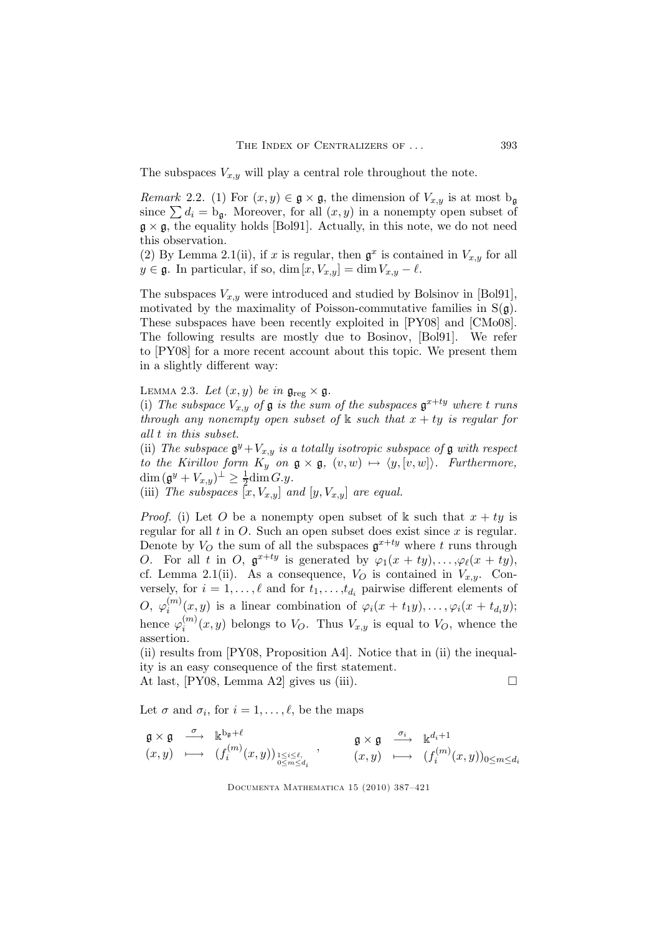The subspaces  $V_{x,y}$  will play a central role throughout the note.

*Remark* 2.2. (1) For  $(x, y) \in \mathfrak{g} \times \mathfrak{g}$ , the dimension of  $V_{x,y}$  is at most b<sub>q</sub> since  $\sum d_i = b_{\mathfrak{q}}$ . Moreover, for all  $(x, y)$  in a nonempty open subset of  $g \times g$ , the equality holds [Bol91]. Actually, in this note, we do not need this observation.

(2) By Lemma 2.1(ii), if x is regular, then  $\mathfrak{g}^x$  is contained in  $V_{x,y}$  for all  $y \in \mathfrak{g}$ . In particular, if so,  $\dim [x, V_{x,y}] = \dim V_{x,y} - \ell$ .

The subspaces  $V_{x,y}$  were introduced and studied by Bolsinov in [Bol91], motivated by the maximality of Poisson-commutative families in  $S(g)$ . These subspaces have been recently exploited in [PY08] and [CMo08]. The following results are mostly due to Bosinov, [Bol91]. We refer to [PY08] for a more recent account about this topic. We present them in a slightly different way:

LEMMA 2.3. Let  $(x, y)$  be in  $\mathfrak{g}_{\text{reg}} \times \mathfrak{g}$ .

(i) The subspace  $V_{x,y}$  of  $\mathfrak g$  is the sum of the subspaces  $\mathfrak g^{x+ty}$  where t runs through any nonempty open subset of  $\Bbbk$  such that  $x + ty$  is regular for all t in this subset.

(ii) The subspace  $\mathfrak{g}^y + V_{x,y}$  is a totally isotropic subspace of  $\mathfrak g$  with respect to the Kirillov form  $K_y$  on  $\mathfrak{g} \times \mathfrak{g}$ ,  $(v,w) \mapsto \langle y, [v,w] \rangle$ . Furthermore,  $\dim (\mathfrak{g}^y + V_{x,y})^{\perp} \geq \frac{1}{2} \dim G.y.$ 

(iii) The subspaces  $[x, V_{x,y}]$  and  $[y, V_{x,y}]$  are equal.

*Proof.* (i) Let O be a nonempty open subset of k such that  $x + ty$  is regular for all  $t$  in  $O$ . Such an open subset does exist since  $x$  is regular. Denote by  $V_O$  the sum of all the subspaces  $\mathfrak{g}^{x+ty}$  where t runs through O. For all t in O,  $\mathfrak{g}^{x+ty}$  is generated by  $\varphi_1(x+ty), \ldots, \varphi_\ell(x+ty)$ , cf. Lemma 2.1(ii). As a consequence,  $V_O$  is contained in  $V_{x,y}$ . Conversely, for  $i = 1, ..., \ell$  and for  $t_1, ..., t_{d_i}$  pairwise different elements of  $O, \; \varphi_i^{(m)}$  $\zeta_i^{(m)}(x,y)$  is a linear combination of  $\varphi_i(x+t_1y),\ldots,\varphi_i(x+t_{d_i}y);$ hence  $\varphi_i^{(m)}$  $\binom{m}{i}(x,y)$  belongs to  $V_O$ . Thus  $V_{x,y}$  is equal to  $V_O$ , whence the assertion.

(ii) results from [PY08, Proposition A4]. Notice that in (ii) the inequality is an easy consequence of the first statement.

At last,  $[PY08, Lemma A2]$  gives us (iii).

Let  $\sigma$  and  $\sigma_i$ , for  $i = 1, \ldots, \ell$ , be the maps

$$
\begin{array}{ccccc} \mathfrak{g}\times\mathfrak{g} & \stackrel{\sigma}{\longrightarrow}& \Bbbk^{\mathbf{b}_{\mathfrak{g}}+\ell} & & \mathfrak{g}\times\mathfrak{g} & \stackrel{\sigma_{i}}{\longrightarrow}& \Bbbk^{d_{i}+1} \\ (x,y) & \longmapsto& (f_{i}^{(m)}(x,y))_{\substack{1\leq i\leq \ell,\\ 0\leq m\leq d_{i}}} & , & (x,y) & \longmapsto& (f_{i}^{(m)}(x,y))_{0\leq m\leq d_{i}} \end{array}
$$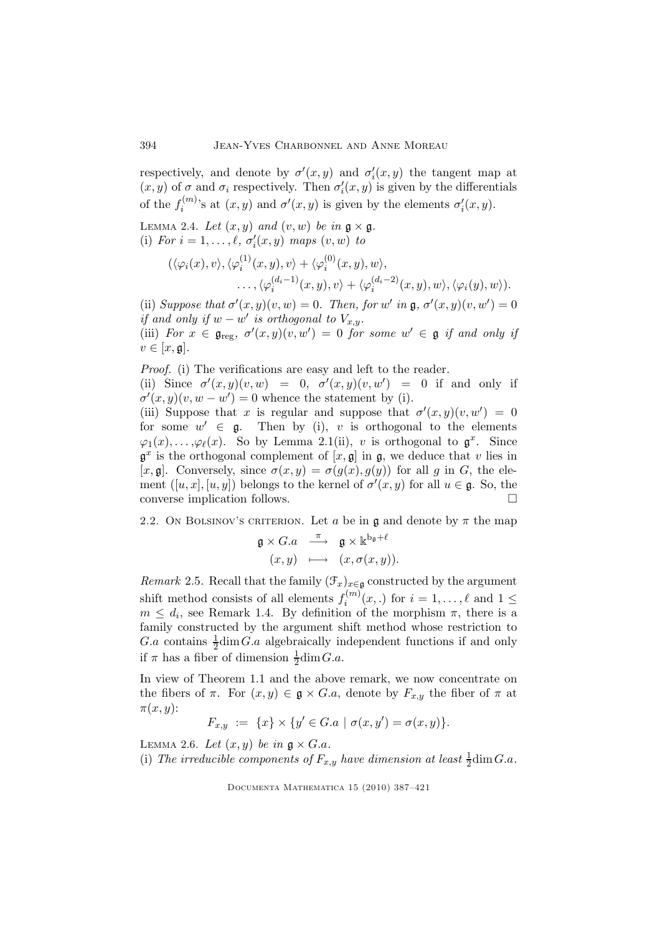respectively, and denote by  $\sigma'(x,y)$  and  $\sigma'_{i}(x,y)$  the tangent map at  $(x, y)$  of  $\sigma$  and  $\sigma_i$  respectively. Then  $\sigma'_i(x, y)$  is given by the differentials of the  $f_i^{(m)}$ <sup>(m)</sup>'s at  $(x, y)$  and  $\sigma'(x, y)$  is given by the elements  $\sigma'_i(x, y)$ .

LEMMA 2.4. Let  $(x, y)$  and  $(v, w)$  be in  $\mathfrak{g} \times \mathfrak{g}$ . (i) For  $i = 1, \ldots, \ell$ ,  $\sigma'_i(x, y)$  maps  $(v, w)$  to

$$
(\langle \varphi_i(x), v \rangle, \langle \varphi_i^{(1)}(x, y), v \rangle + \langle \varphi_i^{(0)}(x, y), w \rangle, \dots, \langle \varphi_i^{(d_i-1)}(x, y), v \rangle + \langle \varphi_i^{(d_i-2)}(x, y), w \rangle, \langle \varphi_i(y), w \rangle).
$$

(ii) Suppose that  $\sigma'(x,y)(v,w) = 0$ . Then, for w' in  $\mathfrak{g}, \sigma'(x,y)(v,w') = 0$ if and only if  $w - w'$  is orthogonal to  $V_{x,y}$ .

(iii) For  $x \in \mathfrak{g}_{\text{reg}}, \sigma'(x,y)(v,w') = 0$  for some  $w' \in \mathfrak{g}$  if and only if  $v \in [x, \mathfrak{g}].$ 

Proof. (i) The verifications are easy and left to the reader.

(ii) Since  $\sigma'(x,y)(v,w) = 0$ ,  $\sigma'(x,y)(v,w') = 0$  if and only if  $\sigma'(x,y)(v,w-w') = 0$  whence the statement by (i).

(iii) Suppose that x is regular and suppose that  $\sigma'(x,y)(v,w') = 0$ for some  $w' \in \mathfrak{g}$ . Then by (i), v is orthogonal to the elements  $\varphi_1(x), \ldots, \varphi_\ell(x)$ . So by Lemma 2.1(ii), v is orthogonal to  $\mathfrak{g}^x$ . Since  $\mathfrak{g}^x$  is the orthogonal complement of  $[x, \mathfrak{g}]$  in  $\mathfrak{g}$ , we deduce that v lies in [x, g]. Conversely, since  $\sigma(x,y) = \sigma(g(x),g(y))$  for all g in G, the element  $([u, x], [u, y])$  belongs to the kernel of  $\sigma'(x, y)$  for all  $u \in \mathfrak{g}$ . So, the converse implication follows.

2.2. On BOLSINOV's CRITERION. Let a be in  $\mathfrak g$  and denote by  $\pi$  the map

$$
\mathfrak{g} \times G.a \xrightarrow{\pi} \mathfrak{g} \times \mathbb{k}^{\mathbf{b}_{\mathfrak{g}}+\ell}
$$

$$
(x, y) \longmapsto (x, \sigma(x, y)).
$$

*Remark* 2.5. Recall that the family  $(\mathcal{F}_x)_{x \in \mathfrak{g}}$  constructed by the argument shift method consists of all elements  $f_i^{(m)}$  $i_i^{(m)}(x,.)$  for  $i = 1, \ldots, \ell$  and  $1 \leq$  $m \leq d_i$ , see Remark 1.4. By definition of the morphism  $\pi$ , there is a family constructed by the argument shift method whose restriction to G.a contains  $\frac{1}{2}$ dim G.a algebraically independent functions if and only if  $\pi$  has a fiber of dimension  $\frac{1}{2}$ dim $G.a$ .

In view of Theorem 1.1 and the above remark, we now concentrate on the fibers of  $\pi$ . For  $(x, y) \in \mathfrak{g} \times G.a$ , denote by  $F_{x,y}$  the fiber of  $\pi$  at  $\pi(x,y)$ :

$$
F_{x,y} \ := \ \{x\} \times \{y' \in G.a \ | \ \sigma(x,y') = \sigma(x,y)\}.
$$

LEMMA 2.6. Let  $(x, y)$  be in  $\mathfrak{g} \times G.a.$ 

(i) The irreducible components of  $F_{x,y}$  have dimension at least  $\frac{1}{2}$ dim $G.a$ .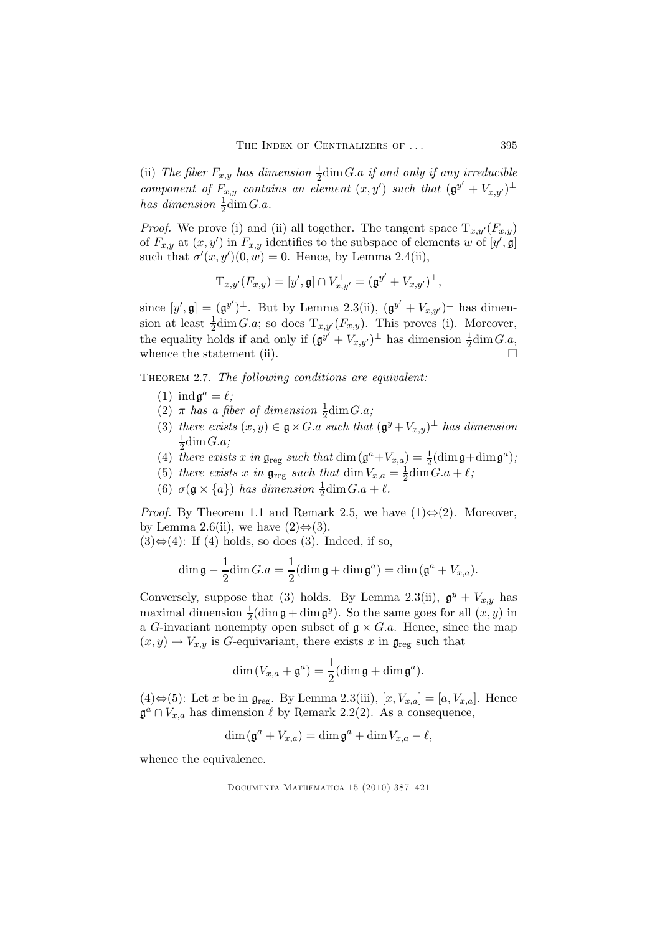(ii) The fiber  $F_{x,y}$  has dimension  $\frac{1}{2}$ dim $G.a$  if and only if any irreducible component of  $F_{x,y}$  contains an element  $(x,y')$  such that  $(\mathfrak{g}^{y'}+V_{x,y'})^{\perp}$ has dimension  $\frac{1}{2}$ dim $G.a$ .

*Proof.* We prove (i) and (ii) all together. The tangent space  $T_{x,y'}(F_{x,y})$ of  $F_{x,y}$  at  $(x, y')$  in  $F_{x,y}$  identifies to the subspace of elements w of  $[y', \mathfrak{g}]$ such that  $\sigma'(x, y')(0, w) = 0$ . Hence, by Lemma 2.4(ii),

$$
\mathrm{T}_{x,y'}(F_{x,y}) = [y',\mathfrak{g}] \cap V_{x,y'}^\perp = (\mathfrak{g}^{y'} + V_{x,y'})^\perp,
$$

since  $[y', \mathfrak{g}] = (\mathfrak{g}^{y'})^{\perp}$ . But by Lemma 2.3(ii),  $(\mathfrak{g}^{y'} + V_{x,y'})^{\perp}$  has dimension at least  $\frac{1}{2}$ dim G.a; so does  $T_{x,y'}(F_{x,y})$ . This proves (i). Moreover, the equality holds if and only if  $(\mathfrak{g}^{y'} + V_{x,y'})^{\perp}$  has dimension  $\frac{1}{2}$ dim $G.a$ , whence the statement (ii).  $\Box$ 

THEOREM 2.7. The following conditions are equivalent:

- (1) ind  $\mathfrak{g}^a = \ell$ ;
- (2)  $\pi$  has a fiber of dimension  $\frac{1}{2}$ dim $G.a$ ;
- (3) there exists  $(x, y) \in \mathfrak{g} \times G$  a such that  $(\mathfrak{g}^y + V_{x,y})^{\perp}$  has dimension 1  $\frac{1}{2}$ dim $G.a;$
- (4) there exists x in  $\mathfrak{g}_{\text{reg}}$  such that  $\dim(\mathfrak{g}^a + V_{x,a}) = \frac{1}{2}(\dim \mathfrak{g} + \dim \mathfrak{g}^a);$
- (5) there exists x in  $\mathfrak{g}_{\text{reg}}$  such that  $\dim V_{x,a} = \frac{1}{2}$  $\frac{1}{2}$ dim  $G.a + \ell;$
- (6)  $\sigma(\mathfrak{g} \times \{a\})$  has dimension  $\frac{1}{2}dim G.a + \ell$ .

*Proof.* By Theorem 1.1 and Remark 2.5, we have  $(1) \Leftrightarrow (2)$ . Moreover, by Lemma 2.6(ii), we have  $(2) \Leftrightarrow (3)$ .

 $(3) \Leftrightarrow (4)$ : If  $(4)$  holds, so does  $(3)$ . Indeed, if so,

$$
\dim \mathfrak{g} - \frac{1}{2} \dim G \cdot a = \frac{1}{2} (\dim \mathfrak{g} + \dim \mathfrak{g}^a) = \dim (\mathfrak{g}^a + V_{x,a}).
$$

Conversely, suppose that (3) holds. By Lemma 2.3(ii),  $\mathfrak{g}^y + V_{x,y}$  has maximal dimension  $\frac{1}{2}$ (dim  $\mathfrak{g} + \dim \mathfrak{g}^y$ ). So the same goes for all  $(x, y)$  in a G-invariant nonempty open subset of  $g \times G.a$ . Hence, since the map  $(x, y) \mapsto V_{x,y}$  is G-equivariant, there exists x in  $\mathfrak{g}_{reg}$  such that

$$
\dim(V_{x,a} + \mathfrak{g}^a) = \frac{1}{2} (\dim \mathfrak{g} + \dim \mathfrak{g}^a).
$$

 $(4)$ ⇔ $(5)$ : Let x be in  $\mathfrak{g}_{reg}$ . By Lemma 2.3(iii),  $[x, V_{x,a}] = [a, V_{x,a}]$ . Hence  $\mathfrak{g}^a \cap V_{x,a}$  has dimension  $\ell$  by Remark 2.2(2). As a consequence,

$$
\dim(\mathfrak{g}^a + V_{x,a}) = \dim \mathfrak{g}^a + \dim V_{x,a} - \ell,
$$

whence the equivalence.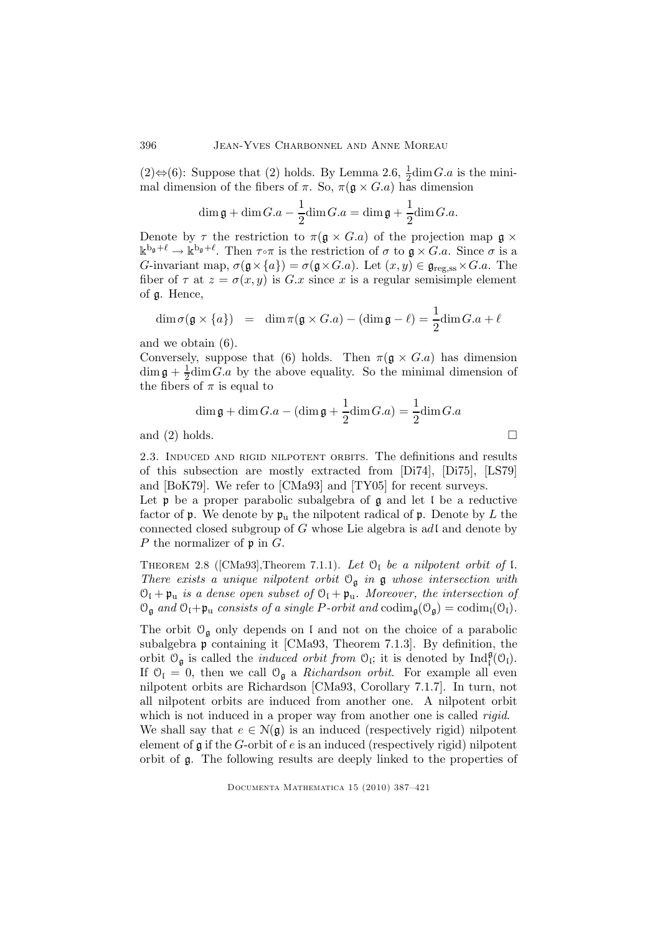(2)⇔(6): Suppose that (2) holds. By Lemma 2.6,  $\frac{1}{2}$ dim *G.a* is the minimal dimension of the fibers of  $\pi$ . So,  $\pi(\mathfrak{g} \times G.a)$  has dimension

$$
\dim \mathfrak{g} + \dim G.a - \frac{1}{2}\dim G.a = \dim \mathfrak{g} + \frac{1}{2}\dim G.a.
$$

Denote by  $\tau$  the restriction to  $\pi(\mathfrak{g} \times G.a)$  of the projection map  $\mathfrak{g} \times$  $\mathbb{k}^{\mathbf{b}_{\mathfrak{g}}+\ell} \to \mathbb{k}^{\mathbf{b}_{\mathfrak{g}}+\ell}$ . Then  $\tau \circ \pi$  is the restriction of  $\sigma$  to  $\mathfrak{g} \times G.a$ . Since  $\sigma$  is a G-invariant map,  $\sigma(\mathfrak{g} \times \{a\}) = \sigma(\mathfrak{g} \times G.a)$ . Let  $(x, y) \in \mathfrak{g}_{reg, ss} \times G.a$ . The fiber of  $\tau$  at  $z = \sigma(x, y)$  is  $G.x$  since x is a regular semisimple element of g. Hence,

$$
\dim \sigma(\mathfrak{g} \times \{a\}) = \dim \pi(\mathfrak{g} \times G.a) - (\dim \mathfrak{g} - \ell) = \frac{1}{2}\dim G.a + \ell
$$

and we obtain (6).

Conversely, suppose that (6) holds. Then  $\pi(\mathfrak{g} \times G.a)$  has dimension  $\dim \mathfrak{g}+\frac{1}{2}$  $\frac{1}{2}$ dim G.a by the above equality. So the minimal dimension of the fibers of  $\pi$  is equal to

$$
\dim \mathfrak{g} + \dim G.a - (\dim \mathfrak{g} + \frac{1}{2}\dim G.a) = \frac{1}{2}\dim G.a
$$
  
and (2) holds.

2.3. Induced and rigid nilpotent orbits. The definitions and results of this subsection are mostly extracted from [Di74], [Di75], [LS79] and [BoK79]. We refer to [CMa93] and [TY05] for recent surveys.

Let  $\mathfrak p$  be a proper parabolic subalgebra of  $\mathfrak g$  and let  $\mathfrak l$  be a reductive factor of  $\mathfrak p$ . We denote by  $\mathfrak p_u$  the nilpotent radical of  $\mathfrak p$ . Denote by L the connected closed subgroup of  $G$  whose Lie algebra is adl and denote by P the normalizer of  $\mathfrak p$  in  $G$ .

THEOREM 2.8 ([CMa93], Theorem 7.1.1). Let  $\mathcal{O}_I$  be a nilpotent orbit of I. There exists a unique nilpotent orbit  $\mathcal{O}_{\mathfrak{g}}$  in  $\mathfrak g$  whose intersection with  $\mathcal{O}_I + \mathfrak{p}_u$  is a dense open subset of  $\mathcal{O}_I + \mathfrak{p}_u$ . Moreover, the intersection of  $\mathcal{O}_{\mathfrak{g}}$  and  $\mathcal{O}_{\mathfrak{l}}+\mathfrak{p}_u$  consists of a single P-orbit and  $\text{codim}_{\mathfrak{g}}(\mathcal{O}_{\mathfrak{g}})=\text{codim}_{\mathfrak{l}}(\mathcal{O}_{\mathfrak{l}}).$ 

The orbit  $\mathcal{O}_{\mathfrak{g}}$  only depends on l and not on the choice of a parabolic subalgebra p containing it [CMa93, Theorem 7.1.3]. By definition, the orbit  $\mathcal{O}_{\mathfrak{g}}$  is called the *induced orbit from*  $\mathcal{O}_{\mathfrak{l}}$ ; it is denoted by  $\text{Ind}_{\mathfrak{l}}^{\mathfrak{g}}(\mathcal{O}_{\mathfrak{l}})$ . If  $\mathcal{O}_{I} = 0$ , then we call  $\mathcal{O}_{g}$  a *Richardson orbit*. For example all even nilpotent orbits are Richardson [CMa93, Corollary 7.1.7]. In turn, not all nilpotent orbits are induced from another one. A nilpotent orbit which is not induced in a proper way from another one is called *rigid*. We shall say that  $e \in N(\mathfrak{g})$  is an induced (respectively rigid) nilpotent

element of  $\mathfrak g$  if the G-orbit of  $e$  is an induced (respectively rigid) nilpotent orbit of g. The following results are deeply linked to the properties of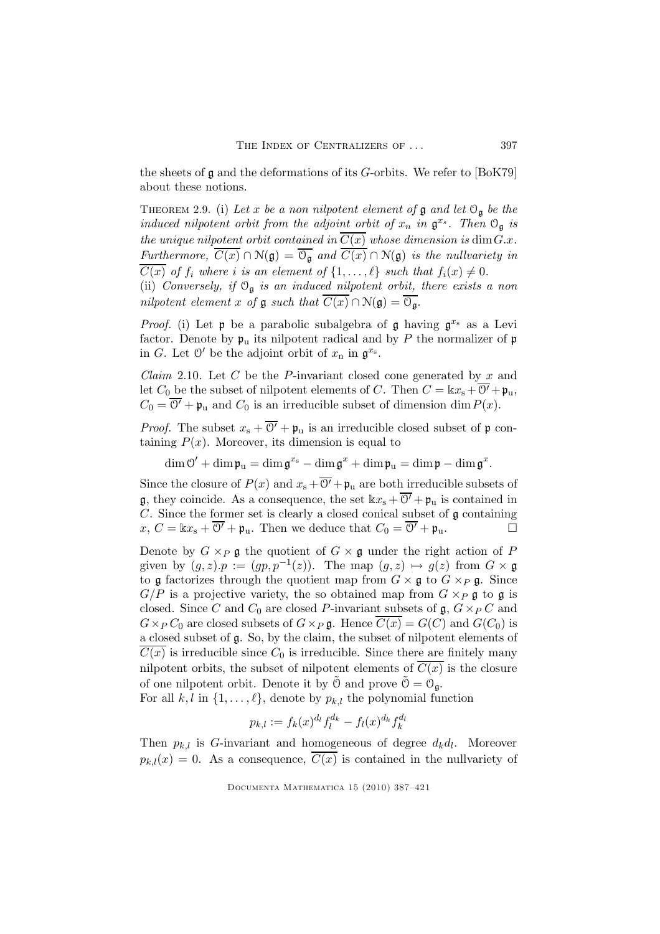the sheets of  $\mathfrak g$  and the deformations of its G-orbits. We refer to [BoK79] about these notions.

THEOREM 2.9. (i) Let x be a non nilpotent element of  $\mathfrak g$  and let  $\mathfrak O_{\mathfrak g}$  be the induced nilpotent orbit from the adjoint orbit of  $x_n$  in  $\mathfrak{g}^{x_s}$ . Then  $\mathfrak{O}_{\mathfrak{g}}$  is the unique nilpotent orbit contained in  $\overline{C(x)}$  whose dimension is dim $G.x$ . Furthermore,  $\overline{C(x)} \cap \mathcal{N}(\mathfrak{g}) = \overline{\mathcal{O}_{\mathfrak{g}}}$  and  $\overline{C(x)} \cap \mathcal{N}(\mathfrak{g})$  is the nullvariety in  $\overline{C(x)}$  of  $f_i$  where i is an element of  $\{1,\ldots,\ell\}$  such that  $f_i(x) \neq 0$ .

(ii) Conversely, if  $O_{\mathfrak{g}}$  is an induced nilpotent orbit, there exists a non nilpotent element x of  $\mathfrak g$  such that  $\overline{C(x)} \cap \mathcal N(\mathfrak g) = \overline{\mathcal{O}_{\mathfrak g}}$ .

*Proof.* (i) Let  $\mathfrak p$  be a parabolic subalgebra of  $\mathfrak g$  having  $\mathfrak g^{x_s}$  as a Levi factor. Denote by  $\mathfrak{p}_u$  its nilpotent radical and by P the normalizer of  $\mathfrak{p}$ in G. Let  $\mathcal{O}'$  be the adjoint orbit of  $x_n$  in  $\mathfrak{g}^{x_s}$ .

*Claim* 2.10. Let  $C$  be the P-invariant closed cone generated by  $x$  and let  $C_0$  be the subset of nilpotent elements of C. Then  $C = \Bbbk x_s + \overline{O'} + \mathfrak{p}_u$ ,  $C_0 = \overline{0'} + \mathfrak{p}_u$  and  $C_0$  is an irreducible subset of dimension dim  $P(x)$ .

*Proof.* The subset  $x_s + \overline{O'} + \mathfrak{p}_u$  is an irreducible closed subset of  $\mathfrak{p}$  containing  $P(x)$ . Moreover, its dimension is equal to

 $\dim \mathcal{O}' + \dim \mathfrak{p}_u = \dim \mathfrak{g}^{x_s} - \dim \mathfrak{g}^x + \dim \mathfrak{p}_u = \dim \mathfrak{p} - \dim \mathfrak{g}^x.$ 

Since the closure of  $P(x)$  and  $x_s + \overline{O'} + \mathfrak{p}_u$  are both irreducible subsets of **g**, they coincide. As a consequence, the set  $\Bbbk x_s + \overline{O'} + \mathfrak{p}_u$  is contained in C. Since the former set is clearly a closed conical subset of  $\mathfrak g$  containing  $x, C = \Bbbk x_s + \overline{O'} + \mathfrak{p}_u$ . Then we deduce that  $C_0 = \overline{O'} + \mathfrak{p}_u$ .

Denote by  $G \times_P \mathfrak{g}$  the quotient of  $G \times \mathfrak{g}$  under the right action of P given by  $(g, z) \cdot p := (gp, p^{-1}(z))$ . The map  $(g, z) \mapsto g(z)$  from  $G \times \mathfrak{g}$ to g factorizes through the quotient map from  $G \times g$  to  $G \times_P g$ . Since  $G/P$  is a projective variety, the so obtained map from  $G \times_P \mathfrak{g}$  to  $\mathfrak{g}$  is closed. Since C and  $C_0$  are closed P-invariant subsets of  $\mathfrak{g}, G \times_P C$  and  $G \times_P C_0$  are closed subsets of  $G \times_P \mathfrak{g}$ . Hence  $C(x) = G(C)$  and  $G(C_0)$  is a closed subset of g. So, by the claim, the subset of nilpotent elements of  $C(x)$  is irreducible since  $C_0$  is irreducible. Since there are finitely many nilpotent orbits, the subset of nilpotent elements of  $\overline{C(x)}$  is the closure of one nilpotent orbit. Denote it by  $\tilde{\mathcal{O}}$  and prove  $\tilde{\mathcal{O}} = \mathcal{O}_{\mathfrak{a}}$ .

For all  $k, l$  in  $\{1, \ldots, \ell\}$ , denote by  $p_{k,l}$  the polynomial function

$$
p_{k,l} := f_k(x)^{d_l} f_l^{d_k} - f_l(x)^{d_k} f_k^{d_l}
$$

Then  $p_{k,l}$  is G-invariant and homogeneous of degree  $d_k d_l$ . Moreover  $p_{k,l}(x) = 0$ . As a consequence,  $\overline{C(x)}$  is contained in the nullvariety of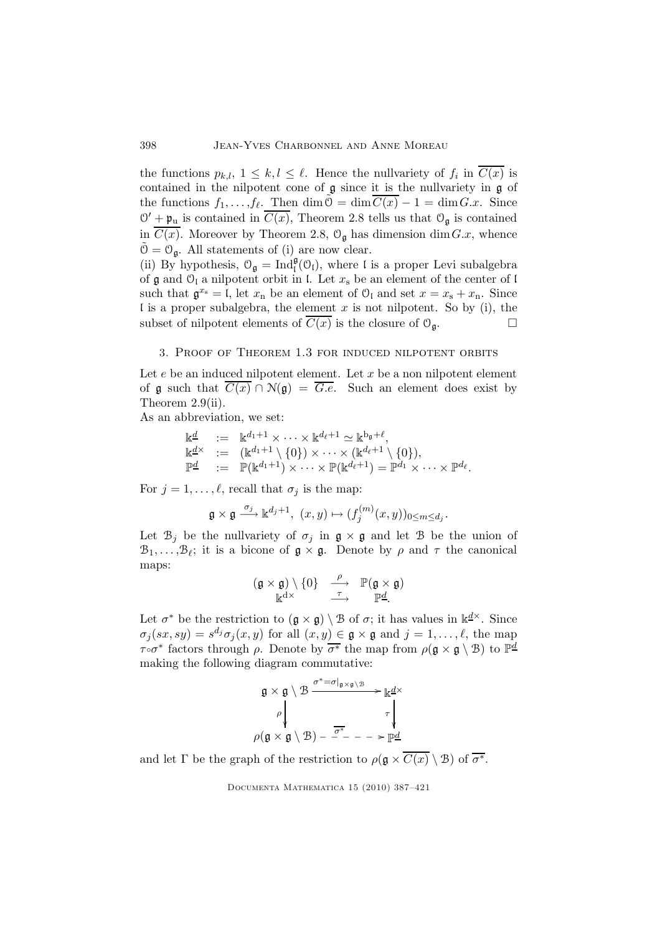the functions  $p_{k,l}$ ,  $1 \leq k,l \leq \ell$ . Hence the nullvariety of  $f_i$  in  $C(x)$  is contained in the nilpotent cone of g since it is the nullvariety in g of the functions  $f_1, \ldots, f_\ell$ . Then  $\dim \tilde{\mathcal{O}} = \dim \overline{C(x)} - 1 = \dim G.x$ . Since  $\mathcal{O}' + \mathfrak{p}_u$  is contained in  $\overline{C(x)}$ , Theorem 2.8 tells us that  $\mathcal{O}_{\mathfrak{g}}$  is contained in  $\overline{C(x)}$ . Moreover by Theorem 2.8,  $\mathcal{O}_{\mathfrak{g}}$  has dimension dim $G.x$ , whence  $\tilde{\mathcal{O}} = \mathcal{O}_{\mathfrak{a}}$ . All statements of (i) are now clear.

(ii) By hypothesis,  $\mathcal{O}_{\mathfrak{g}} = \text{Ind}_{\mathfrak{l}}^{\mathfrak{g}}(\mathcal{O}_{\mathfrak{l}})$ , where  $\mathfrak{l}$  is a proper Levi subalgebra of  $\mathfrak g$  and  $\mathfrak O_{\mathfrak l}$  a nilpotent orbit in l. Let  $x_{\rm s}$  be an element of the center of l such that  $\mathfrak{g}^{x_{\rm s}} = \mathfrak{l}$ , let  $x_{\rm n}$  be an element of  $\mathfrak{O}_{\mathfrak{l}}$  and set  $x = x_{\rm s} + x_{\rm n}$ . Since I is a proper subalgebra, the element  $x$  is not nilpotent. So by (i), the subset of nilpotent elements of  $\overline{C(x)}$  is the closure of  $\mathcal{O}_{\mathfrak{g}}$ .

## 3. Proof of Theorem 1.3 for induced nilpotent orbits

Let  $e$  be an induced nilpotent element. Let  $x$  be a non nilpotent element of g such that  $\overline{C(x)} \cap N(g) = \overline{G.e}$ . Such an element does exist by Theorem 2.9(ii).

As an abbreviation, we set:

$$
\begin{array}{lll}\n\mathbb{k}^{\underline{d}} & := & \mathbb{k}^{d_1+1} \times \cdots \times \mathbb{k}^{d_\ell+1} \simeq \mathbb{k}^{b_{\mathfrak{g}}+\ell}, \\
\mathbb{k}^{\underline{d}\times} & := & (\mathbb{k}^{d_1+1} \setminus \{0\}) \times \cdots \times (\mathbb{k}^{d_\ell+1} \setminus \{0\}), \\
\mathbb{P}^{\underline{d}} & := & \mathbb{P}(\mathbb{k}^{d_1+1}) \times \cdots \times \mathbb{P}(\mathbb{k}^{d_\ell+1}) = \mathbb{P}^{d_1} \times \cdots \times \mathbb{P}^{d_\ell}.\n\end{array}
$$

For  $j = 1, \ldots, \ell$ , recall that  $\sigma_j$  is the map:

$$
\mathfrak{g}\times\mathfrak{g}\stackrel{\sigma_j}{\longrightarrow} \mathbb{k}^{d_j+1},\ (x,y)\mapsto (f_j^{(m)}(x,y))_{0\leq m\leq d_j}.
$$

Let  $\mathcal{B}_j$  be the nullvariety of  $\sigma_j$  in  $\mathfrak{g} \times \mathfrak{g}$  and let  $\mathfrak{B}$  be the union of  $\mathcal{B}_1,\ldots,\mathcal{B}_\ell$ ; it is a bicone of  $\mathfrak{g}\times\mathfrak{g}$ . Denote by  $\rho$  and  $\tau$  the canonical maps:

$$
\begin{array}{ccc}(\mathfrak{g}\times\mathfrak{g})\setminus\{0\} & \xrightarrow{\rho}&\mathbb{P}(\mathfrak{g}\times\mathfrak{g})\\ \mathbb{k}^{d\times}\end{array}
$$

Let  $\sigma^*$  be the restriction to  $(\mathfrak{g} \times \mathfrak{g}) \setminus \mathfrak{B}$  of  $\sigma$ ; it has values in  $\mathbb{k}^{\underline{d}\times}$ . Since  $\sigma_j(sx, sy) = s^{d_j}\sigma_j(x, y)$  for all  $(x, y) \in \mathfrak{g} \times \mathfrak{g}$  and  $j = 1, \ldots, \ell$ , the map  $\tau$ ∘σ<sup>\*</sup> factors through *ρ*. Denote by  $\overline{\sigma^*}$  the map from  $\rho(\mathfrak{g} \times \mathfrak{g} \setminus \mathfrak{B})$  to  $\mathbb{P}^{\underline{d}}$ making the following diagram commutative:

$$
\mathfrak{g} \times \mathfrak{g} \setminus \mathfrak{B} \xrightarrow{\sigma^* = \sigma|_{\mathfrak{g} \times \mathfrak{g} \setminus \mathfrak{B}}} \mathbb{R}^{\underline{d} \times}
$$
\n
$$
\rho \downarrow \qquad \qquad \tau \downarrow
$$
\n
$$
\rho(\mathfrak{g} \times \mathfrak{g} \setminus \mathfrak{B}) - \overline{\sigma^*} - - - \geq \mathbb{P}^{\underline{d}}
$$

and let  $\Gamma$  be the graph of the restriction to  $\rho(\mathfrak{g} \times \overline{C(x)} \setminus \mathfrak{B})$  of  $\overline{\sigma^*}.$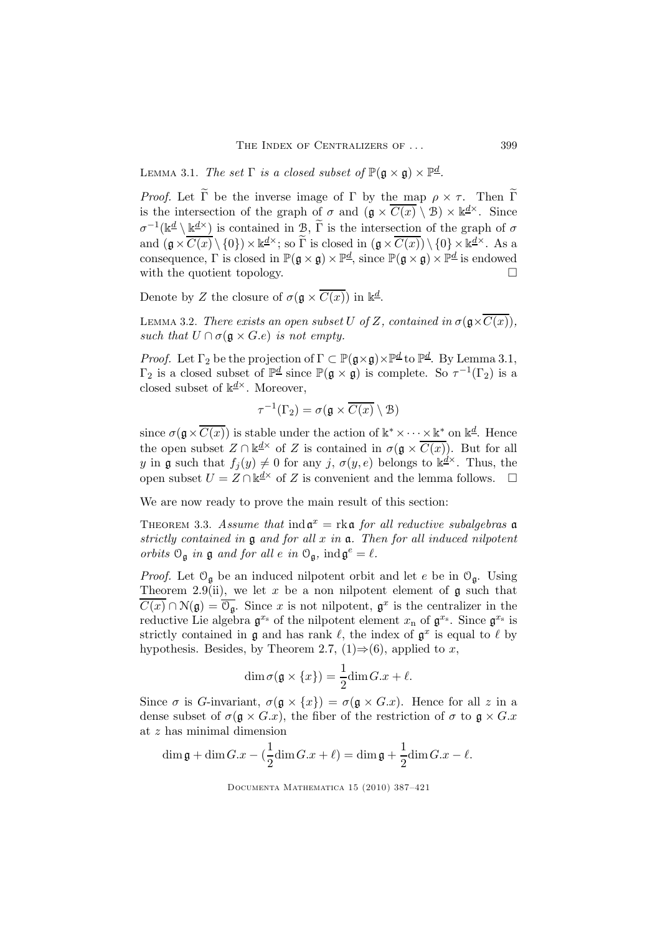LEMMA 3.1. The set  $\Gamma$  is a closed subset of  $\mathbb{P}(\mathfrak{g} \times \mathfrak{g}) \times \mathbb{P}^{\underline{d}}$ .

*Proof.* Let  $\tilde{\Gamma}$  be the inverse image of  $\Gamma$  by the map  $\rho \times \tau$ . Then  $\tilde{\Gamma}$ is the intersection of the graph of  $\sigma$  and  $(\mathfrak{g} \times \overline{C(x)} \setminus \mathfrak{B}) \times \mathbb{k}^{\underline{d} \times}$ . Since  $\sigma^{-1}(\mathbb{k} \underline{\mathbb{k}} \setminus \underline{\mathbb{k}} \underline{\mathbb{k}}^{\underline{\mathbb{k}}})$  is contained in  $\mathcal{B}, \, \widetilde{\Gamma}$  is the intersection of the graph of  $\sigma$ and  $(\mathfrak{g} \times \overline{C(x)} \setminus \{0\}) \times \mathbb{k}^{\underline{d} \times}$ ; so  $\widetilde{\Gamma}$  is closed in  $(\mathfrak{g} \times \overline{C(x)}) \setminus \{0\} \times \mathbb{k}^{\underline{d} \times}$ . As a consequence,  $\Gamma$  is closed in  $\mathbb{P}(\mathfrak{g} \times \mathfrak{g}) \times \mathbb{P}^{\underline{d}}$ , since  $\mathbb{P}(\mathfrak{g} \times \mathfrak{g}) \times \mathbb{P}^{\underline{d}}$  is endowed with the quotient topology.  $\Box$ 

Denote by Z the closure of  $\sigma(\mathfrak{g} \times \overline{C(x)})$  in  $\mathbb{k}^d$ .

LEMMA 3.2. There exists an open subset U of Z, contained in  $\sigma(\mathfrak{g}\times\overline{C(x)})$ , such that  $U \cap \sigma(\mathfrak{a} \times G.e)$  is not empty.

*Proof.* Let  $\Gamma_2$  be the projection of  $\Gamma \subset \mathbb{P}(\mathfrak{g} \times \mathfrak{g}) \times \mathbb{P}^{\underline{d}}$  to  $\mathbb{P}^{\underline{d}}$ . By Lemma 3.1,  $\Gamma_2$  is a closed subset of  $\mathbb{P}^{\underline{d}}$  since  $\mathbb{P}(\mathfrak{g} \times \mathfrak{g})$  is complete. So  $\tau^{-1}(\Gamma_2)$  is a closed subset of  $k \frac{d^{\times}}{k}$ . Moreover,

$$
\tau^{-1}(\Gamma_2) = \sigma(\mathfrak{g} \times \overline{C(x)} \setminus \mathfrak{B})
$$

since  $\sigma(\mathfrak{g} \times \overline{C(x)})$  is stable under the action of  $\mathbb{k}^* \times \cdots \times \mathbb{k}^*$  on  $\mathbb{k}^d$ . Hence the open subset  $Z \cap \mathbb{k}^{\underline{d}\times}$  of Z is contained in  $\sigma(\mathfrak{g} \times \overline{C(x)})$ . But for all y in g such that  $f_j(y) \neq 0$  for any j,  $\sigma(y, e)$  belongs to  $\mathbb{k}^{\underline{d}\times}$ . Thus, the open subset  $U = Z \cap \mathbb{k}^{\underline{d} \times}$  of Z is convenient and the lemma follows.  $\Box$ 

We are now ready to prove the main result of this section:

THEOREM 3.3. Assume that  $\text{ind}\,\mathfrak{a}^x = \text{rk}\,\mathfrak{a}$  for all reductive subalgebras  $\mathfrak{a}$ strictly contained in  $\mathfrak g$  and for all  $x$  in  $\mathfrak a$ . Then for all induced nilpotent orbits  $\mathcal{O}_{\mathfrak{g}}$  in  $\mathfrak g$  and for all  $e$  in  $\mathcal{O}_{\mathfrak{g}}$ ,  $\text{ind}\,\mathfrak{g}^e = \ell$ .

*Proof.* Let  $\mathcal{O}_{\mathfrak{a}}$  be an induced nilpotent orbit and let e be in  $\mathcal{O}_{\mathfrak{a}}$ . Using Theorem 2.9(ii), we let x be a non nilpotent element of  $\mathfrak g$  such that  $\overline{C(x)} \cap \mathcal{N}(\mathfrak{g}) = \overline{\mathcal{O}_{\mathfrak{g}}}$ . Since x is not nilpotent,  $\mathfrak{g}^x$  is the centralizer in the reductive Lie algebra  $\mathfrak{g}^{x_s}$  of the nilpotent element  $x_n$  of  $\mathfrak{g}^{x_s}$ . Since  $\mathfrak{g}^{x_s}$  is strictly contained in  $\mathfrak g$  and has rank  $\ell$ , the index of  $\mathfrak g^x$  is equal to  $\ell$  by hypothesis. Besides, by Theorem 2.7, (1)⇒(6), applied to x,

$$
\dim \sigma(\mathfrak{g} \times \{x\}) = \frac{1}{2} \dim G.x + \ell.
$$

Since  $\sigma$  is G-invariant,  $\sigma(\mathfrak{g} \times \{x\}) = \sigma(\mathfrak{g} \times G.x)$ . Hence for all z in a dense subset of  $\sigma(\mathfrak{g} \times G.x)$ , the fiber of the restriction of  $\sigma$  to  $\mathfrak{g} \times G.x$ at z has minimal dimension

$$
\dim \mathfrak{g} + \dim G.x - (\frac{1}{2}\dim G.x + \ell) = \dim \mathfrak{g} + \frac{1}{2}\dim G.x - \ell.
$$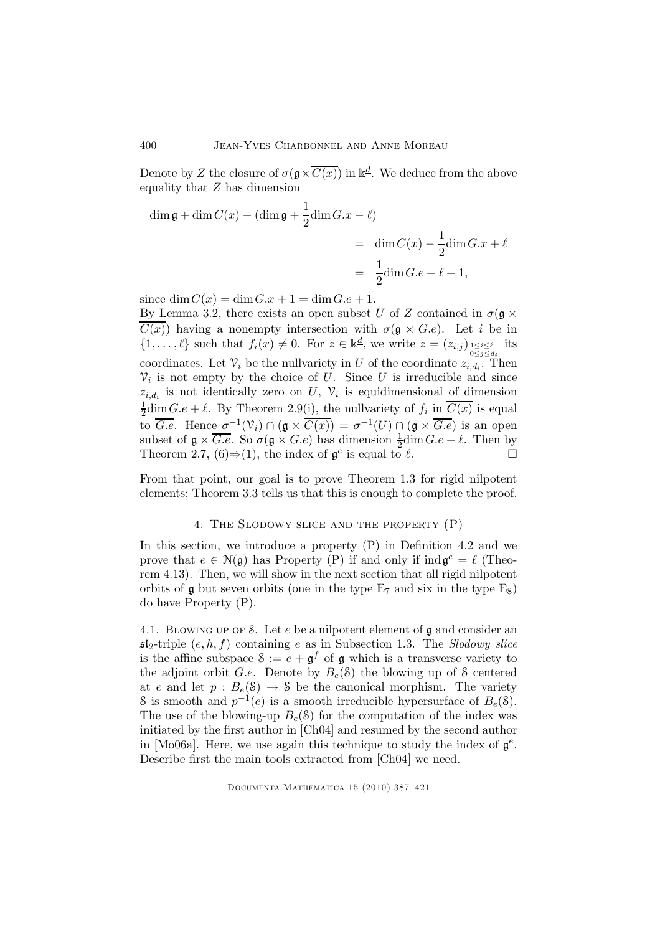Denote by Z the closure of  $\sigma(\mathfrak{g} \times \overline{C(x)})$  in  $\mathbb{k}^d$ . We deduce from the above equality that Z has dimension

$$
\dim \mathfrak{g} + \dim C(x) - (\dim \mathfrak{g} + \frac{1}{2}\dim G.x - \ell)
$$
  
= 
$$
\dim C(x) - \frac{1}{2}\dim G.x + \ell
$$
  
= 
$$
\frac{1}{2}\dim G.e + \ell + 1,
$$

since  $\dim C(x) = \dim G \cdot x + 1 = \dim G \cdot e + 1$ .

By Lemma 3.2, there exists an open subset U of Z contained in  $\sigma(\mathfrak{g} \times$  $C(x)$  having a nonempty intersection with  $\sigma(\mathfrak{g} \times G.e)$ . Let i be in  $\{1,\ldots,\ell\}$  such that  $f_i(x) \neq 0$ . For  $z \in \mathbb{k}$ <sup>d</sup>, we write  $z = (z_{i,j})_{\substack{1 \leq i \leq \ell \\ 0 \leq j \leq d_i}}$  its coordinates. Let  $\mathcal{V}_i$  be the nullvariety in U of the coordinate  $z_{i,d_i}$ . Then  $\mathcal{V}_i$  is not empty by the choice of U. Since U is irreducible and since  $z_{i,d_i}$  is not identically zero on U,  $\mathcal{V}_i$  is equidimensional of dimension 1  $\frac{1}{2}$ dim  $G.e + \ell$ . By Theorem 2.9(i), the nullvariety of  $f_i$  in  $C(x)$  is equal to  $\overline{G.e.}$  Hence  $\sigma^{-1}(\mathcal{V}_i) \cap (\mathfrak{g} \times \overline{C(x)}) = \sigma^{-1}(U) \cap (\mathfrak{g} \times \overline{G.e})$  is an open subset of  $\mathfrak{g} \times \overline{G.e}$ . So  $\sigma(\mathfrak{g} \times G.e)$  has dimension  $\frac{1}{2}$ dim $G.e + \ell$ . Then by Theorem 2.7,  $(6) \Rightarrow (1)$ , the index of  $\mathfrak{g}^e$  is equal to  $\ell$ .

From that point, our goal is to prove Theorem 1.3 for rigid nilpotent elements; Theorem 3.3 tells us that this is enough to complete the proof.

#### 4. The Slodowy slice and the property (P)

In this section, we introduce a property  $(P)$  in Definition 4.2 and we prove that  $e \in \mathcal{N}(\mathfrak{g})$  has Property (P) if and only if  $\text{ind}\,\mathfrak{g}^e = \ell$  (Theorem 4.13). Then, we will show in the next section that all rigid nilpotent orbits of  $\mathfrak g$  but seven orbits (one in the type  $E_7$  and six in the type  $E_8$ ) do have Property (P).

4.1. Blowing up of S. Let e be a nilpotent element of g and consider an  $\mathfrak{sl}_2$ -triple  $(e, h, f)$  containing e as in Subsection 1.3. The Slodowy slice is the affine subspace  $S := e + \mathfrak{g}^f$  of  $\mathfrak g$  which is a transverse variety to the adjoint orbit G.e. Denote by  $B_e(\mathcal{S})$  the blowing up of S centered at e and let  $p : B_e(\mathcal{S}) \to \mathcal{S}$  be the canonical morphism. The variety S is smooth and  $p^{-1}(e)$  is a smooth irreducible hypersurface of  $B_e(8)$ . The use of the blowing-up  $B_e(\delta)$  for the computation of the index was initiated by the first author in [Ch04] and resumed by the second author in [Mo06a]. Here, we use again this technique to study the index of  $\mathfrak{g}^e$ . Describe first the main tools extracted from [Ch04] we need.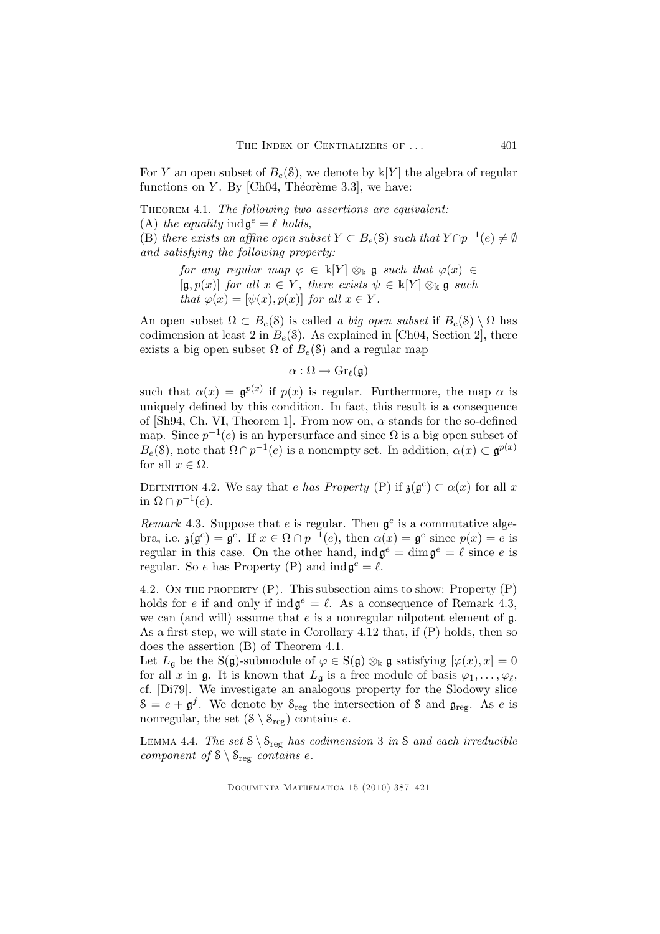For Y an open subset of  $B_e(\mathcal{S})$ , we denote by  $\mathbb{k}[Y]$  the algebra of regular functions on Y. By  $[Ch04, Théorème 3.3]$ , we have:

THEOREM 4.1. The following two assertions are equivalent:

(A) the equality ind  $\mathfrak{g}^e = \ell$  holds,

(B) there exists an affine open subset  $Y \subset B_e(\mathcal{S})$  such that  $Y \cap p^{-1}(e) \neq \emptyset$ and satisfying the following property:

> for any regular map  $\varphi \in \mathbb{K}[Y] \otimes_{\mathbb{K}} \mathfrak{g}$  such that  $\varphi(x) \in$  $[\mathfrak{g},p(x)]$  for all  $x \in Y$ , there exists  $\psi \in \mathbb{K}[Y] \otimes_{\mathbb{K}} \mathfrak{g}$  such that  $\varphi(x) = [\psi(x), p(x)]$  for all  $x \in Y$ .

An open subset  $\Omega \subset B_e(\mathcal{S})$  is called a big open subset if  $B_e(\mathcal{S}) \setminus \Omega$  has codimension at least 2 in  $B_e(S)$ . As explained in [Ch04, Section 2], there exists a big open subset  $\Omega$  of  $B_e(\mathcal{S})$  and a regular map

$$
\alpha : \Omega \to \mathrm{Gr}_{\ell}(\mathfrak{g})
$$

such that  $\alpha(x) = \mathfrak{g}^{p(x)}$  if  $p(x)$  is regular. Furthermore, the map  $\alpha$  is uniquely defined by this condition. In fact, this result is a consequence of [Sh94, Ch. VI, Theorem 1]. From now on,  $\alpha$  stands for the so-defined map. Since  $p^{-1}(e)$  is an hypersurface and since  $\Omega$  is a big open subset of  $B_e(\mathcal{S})$ , note that  $\Omega \cap p^{-1}(e)$  is a nonempty set. In addition,  $\alpha(x) \subset \mathfrak{g}^{p(x)}$ for all  $x \in \Omega$ .

DEFINITION 4.2. We say that e has Property (P) if  $\mathfrak{z}(\mathfrak{g}^e) \subset \alpha(x)$  for all x in  $\Omega \cap p^{-1}(e)$ .

Remark 4.3. Suppose that e is regular. Then  $\mathfrak{g}^e$  is a commutative algebra, i.e.  $\mathfrak{z}(\mathfrak{g}^e) = \mathfrak{g}^e$ . If  $x \in \Omega \cap p^{-1}(e)$ , then  $\alpha(x) = \mathfrak{g}^e$  since  $p(x) = e$  is regular in this case. On the other hand,  $\text{ind}\,\mathfrak{g}^e = \dim \mathfrak{g}^e = \ell$  since e is regular. So e has Property (P) and  $\text{ind}\,\mathfrak{g}^e=\ell$ .

4.2. On the property (P). This subsection aims to show: Property (P) holds for e if and only if  $\text{ind}\,\mathfrak{g}^e = \ell$ . As a consequence of Remark 4.3, we can (and will) assume that  $e$  is a nonregular nilpotent element of  $\mathfrak{g}$ . As a first step, we will state in Corollary 4.12 that, if (P) holds, then so does the assertion (B) of Theorem 4.1.

Let  $L_{\mathfrak{a}}$  be the S(g)-submodule of  $\varphi \in S(\mathfrak{g}) \otimes_{\mathbb{k}} \mathfrak{g}$  satisfying  $[\varphi(x),x] = 0$ for all x in  $\mathfrak g$ . It is known that  $L_{\mathfrak g}$  is a free module of basis  $\varphi_1,\ldots,\varphi_\ell$ , cf. [Di79]. We investigate an analogous property for the Slodowy slice  $S = e + \mathfrak{g}^f$ . We denote by  $S_{reg}$  the intersection of S and  $\mathfrak{g}_{reg}$ . As e is nonregular, the set  $(\mathcal{S} \setminus \mathcal{S}_{reg})$  contains e.

LEMMA 4.4. The set  $S \ S_{reg}$  has codimension 3 in S and each irreducible component of  $S \setminus S_{\text{reg}}$  contains e.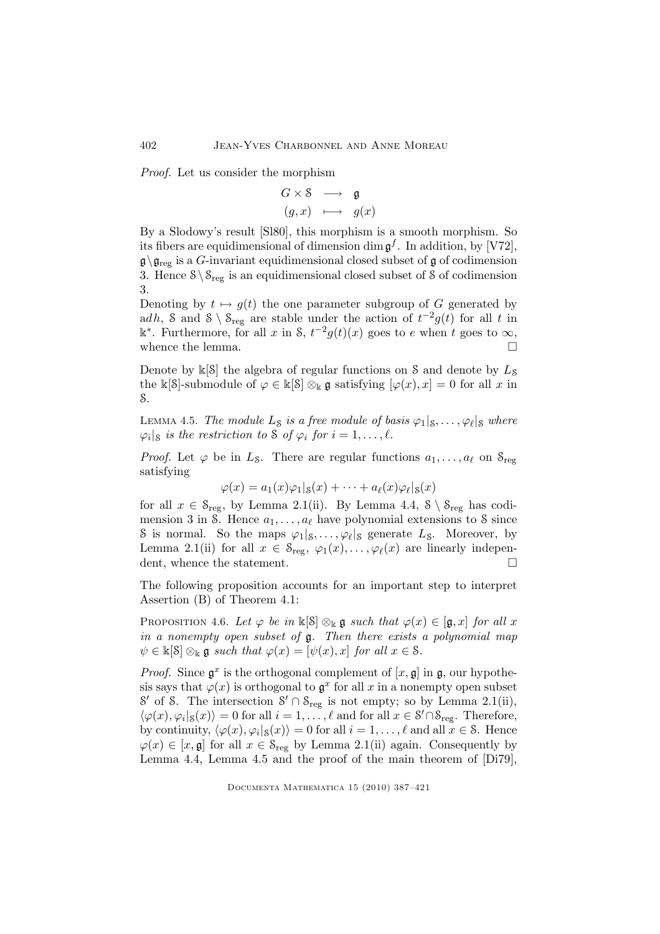Proof. Let us consider the morphism

$$
\begin{array}{ccc} G \times \mathbb{S} & \longrightarrow & \mathfrak{g} \\ (g, x) & \longmapsto & g(x) \end{array}
$$

By a Slodowy's result [Sl80], this morphism is a smooth morphism. So its fibers are equidimensional of dimension  $\dim \mathfrak{g}^f$ . In addition, by [V72],  $\mathfrak{g}\setminus\mathfrak{g}_{\text{reg}}$  is a G-invariant equidimensional closed subset of g of codimension 3. Hence  $S \ S_{reg}$  is an equidimensional closed subset of S of codimension 3.

Denoting by  $t \mapsto g(t)$  the one parameter subgroup of G generated by adh, S and  $S \setminus S_{reg}$  are stable under the action of  $t^{-2}g(t)$  for all t in  $\mathbb{k}^*$ . Furthermore, for all x in S,  $t^{-2}g(t)(x)$  goes to e when t goes to  $\infty$ , whence the lemma.  $\Box$ 

Denote by  $\mathbb{K}[\mathcal{S}]$  the algebra of regular functions on S and denote by  $L_{\mathcal{S}}$ the k[S]-submodule of  $\varphi \in \kappa[S] \otimes_{\kappa} \mathfrak{g}$  satisfying  $[\varphi(x), x] = 0$  for all x in S.

LEMMA 4.5. The module  $L_S$  is a free module of basis  $\varphi_1|_S,\ldots,\varphi_\ell|_S$  where  $\varphi_i|_{\mathcal{S}}$  is the restriction to  $\mathcal{S}$  of  $\varphi_i$  for  $i = 1, \ldots, \ell$ .

*Proof.* Let  $\varphi$  be in  $L_S$ . There are regular functions  $a_1, \ldots, a_\ell$  on  $S_{reg}$ satisfying

$$
\varphi(x) = a_1(x)\varphi_1|_{\mathcal{S}}(x) + \cdots + a_\ell(x)\varphi_\ell|_{\mathcal{S}}(x)
$$

for all  $x \in \mathcal{S}_{\text{reg}}$ , by Lemma 2.1(ii). By Lemma 4.4,  $\mathcal{S} \setminus \mathcal{S}_{\text{reg}}$  has codimension 3 in S. Hence  $a_1, \ldots, a_\ell$  have polynomial extensions to S since S is normal. So the maps  $\varphi_1|_s, \ldots, \varphi_\ell|_s$  generate  $L_s$ . Moreover, by Lemma 2.1(ii) for all  $x \in \mathcal{S}_{reg}$ ,  $\varphi_1(x), \ldots, \varphi_\ell(x)$  are linearly independent, whence the statement.

The following proposition accounts for an important step to interpret Assertion (B) of Theorem 4.1:

PROPOSITION 4.6. Let  $\varphi$  be in  $\mathbb{K}[\mathcal{S}] \otimes_{\mathbb{K}} \mathfrak{g}$  such that  $\varphi(x) \in [\mathfrak{g},x]$  for all x in a nonempty open subset of g. Then there exists a polynomial map  $\psi \in \mathbb{k}[\mathcal{S}] \otimes_{\mathbb{k}} \mathfrak{g}$  such that  $\varphi(x) = [\psi(x), x]$  for all  $x \in \mathcal{S}$ .

*Proof.* Since  $\mathfrak{g}^x$  is the orthogonal complement of  $[x, \mathfrak{g}]$  in  $\mathfrak{g}$ , our hypothesis says that  $\varphi(x)$  is orthogonal to  $\mathfrak{g}^x$  for all x in a nonempty open subset  $\mathcal{S}'$  of  $\mathcal{S}$ . The intersection  $\mathcal{S}' \cap \mathcal{S}_{reg}$  is not empty; so by Lemma 2.1(ii),  $\langle \varphi(x), \varphi_i |_{\mathcal{S}}(x) \rangle = 0$  for all  $i = 1, \ldots, \ell$  and for all  $x \in \mathcal{S}' \cap \mathcal{S}_{reg}$ . Therefore, by continuity,  $\langle \varphi(x), \varphi_i | s(x) \rangle = 0$  for all  $i = 1, \ldots, \ell$  and all  $x \in \mathcal{S}$ . Hence  $\varphi(x) \in [x, \mathfrak{g}]$  for all  $x \in \mathcal{S}_{reg}$  by Lemma 2.1(ii) again. Consequently by Lemma 4.4, Lemma 4.5 and the proof of the main theorem of [Di79],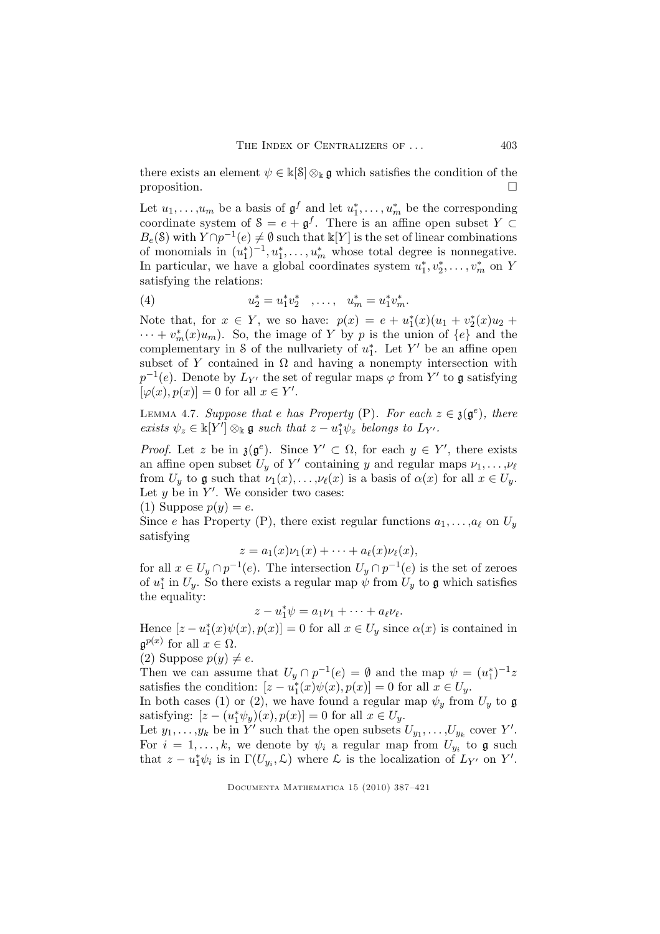there exists an element  $\psi \in \mathbb{k}[\mathcal{S}] \otimes_{\mathbb{k}} \mathfrak{g}$  which satisfies the condition of the proposition.

Let  $u_1, \ldots, u_m$  be a basis of  $\mathfrak{g}^f$  and let  $u_1^*, \ldots, u_m^*$  be the corresponding coordinate system of  $S = e + \mathfrak{g}^f$ . There is an affine open subset  $Y \subset$  $B_e(\mathcal{S})$  with  $Y \cap p^{-1}(e) \neq \emptyset$  such that  $\mathbb{k}[Y]$  is the set of linear combinations of monomials in  $(u_1^*)^{-1}, u_1^*, \ldots, u_m^*$  whose total degree is nonnegative. In particular, we have a global coordinates system  $u_1^*, v_2^*, \ldots, v_m^*$  on Y satisfying the relations:

(4) 
$$
u_2^* = u_1^* v_2^* \quad \dots, \quad u_m^* = u_1^* v_m^*.
$$

Note that, for  $x \in Y$ , we so have:  $p(x) = e + u_1^*(x)(u_1 + v_2^*(x)u_2 + ...)$  $\cdots + v_m^*(x)u_m$ ). So, the image of Y by p is the union of  $\{e\}$  and the complementary in S of the nullvariety of  $u_1^*$ . Let Y' be an affine open subset of Y contained in  $\Omega$  and having a nonempty intersection with  $p^{-1}(e)$ . Denote by  $L_{Y'}$  the set of regular maps  $\varphi$  from Y' to  $\mathfrak g$  satisfying  $[\varphi(x), p(x)] = 0$  for all  $x \in Y'$ .

LEMMA 4.7. Suppose that e has Property (P). For each  $z \in \mathfrak{z}(\mathfrak{g}^e)$ , there exists  $\psi_z \in \mathbb{K}[Y'] \otimes_{\mathbb{K}} \mathfrak{g}$  such that  $z - u_1^* \psi_z$  belongs to  $L_{Y'}$ .

*Proof.* Let z be in  $\mathfrak{z}(\mathfrak{g}^e)$ . Since  $Y' \subset \Omega$ , for each  $y \in Y'$ , there exists an affine open subset  $U_y$  of Y' containing y and regular maps  $\nu_1, \ldots, \nu_\ell$ from  $U_y$  to g such that  $\nu_1(x), \ldots, \nu_\ell(x)$  is a basis of  $\alpha(x)$  for all  $x \in U_y$ . Let  $y$  be in  $Y'$ . We consider two cases:

(1) Suppose  $p(y) = e$ .

Since e has Property (P), there exist regular functions  $a_1, \ldots, a_\ell$  on  $U_y$ satisfying

$$
z = a_1(x)\nu_1(x) + \cdots + a_\ell(x)\nu_\ell(x),
$$

for all  $x \in U_y \cap p^{-1}(e)$ . The intersection  $U_y \cap p^{-1}(e)$  is the set of zeroes of  $u_1^*$  in  $U_y$ . So there exists a regular map  $\psi$  from  $U_y$  to  $\mathfrak g$  which satisfies the equality:

 $z - u_1^* \psi = a_1 \nu_1 + \cdots + a_\ell \nu_\ell.$ 

Hence  $[z - u_1^*(x)\psi(x), p(x)] = 0$  for all  $x \in U_y$  since  $\alpha(x)$  is contained in  $\mathfrak{g}^{p(x)}$  for all  $x \in \Omega$ .

(2) Suppose  $p(y) \neq e$ .

Then we can assume that  $U_y \cap p^{-1}(e) = \emptyset$  and the map  $\psi = (u_1^*)^{-1}z$ satisfies the condition:  $[z - u_1^*(x)\psi(x), p(x)] = 0$  for all  $x \in U_y$ .

In both cases (1) or (2), we have found a regular map  $\psi_y$  from  $U_y$  to g satisfying:  $[z - (u_1^*\psi_y)(x), p(x)] = 0$  for all  $x \in U_y$ .

Let  $y_1, \ldots, y_k$  be in  $Y'$  such that the open subsets  $U_{y_1}, \ldots, U_{y_k}$  cover  $Y'$ . For  $i = 1, ..., k$ , we denote by  $\psi_i$  a regular map from  $U_{y_i}$  to  $\mathfrak g$  such that  $z - u_1^* \psi_i$  is in  $\Gamma(U_{y_i}, \mathcal{L})$  where  $\mathcal{L}$  is the localization of  $L_{Y'}$  on  $Y'$ .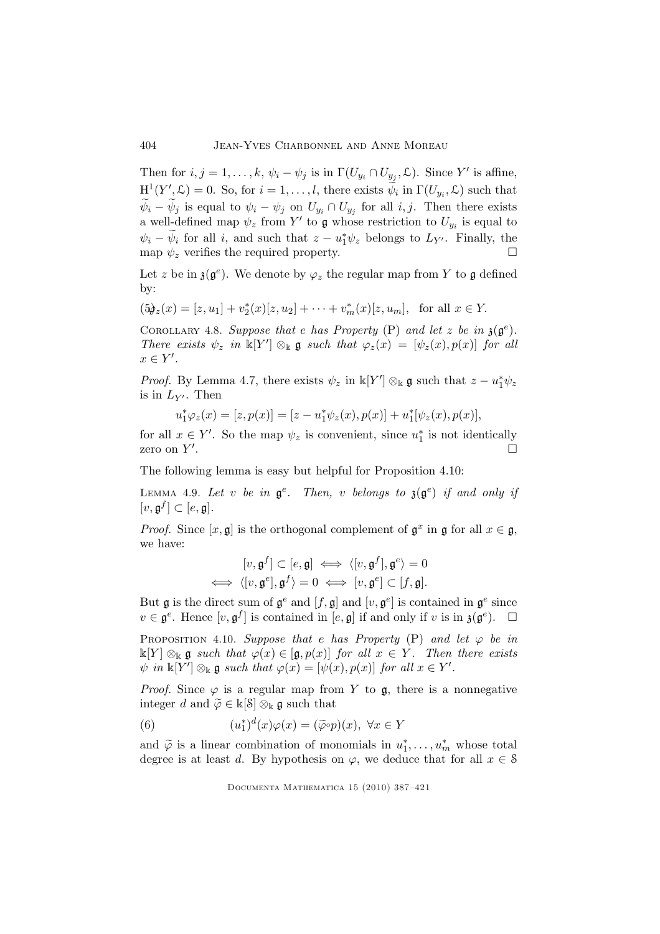Then for  $i, j = 1, ..., k, \psi_i - \psi_j$  is in  $\Gamma(U_{y_i} \cap U_{y_j}, \mathcal{L})$ . Since Y' is affine,  $H^1(Y', \mathcal{L}) = 0$ . So, for  $i = 1, \ldots, l$ , there exists  $\widetilde{\psi}_i$  in  $\Gamma(U_{y_i}, \mathcal{L})$  such that  $\psi_i - \psi_j$  is equal to  $\psi_i - \psi_j$  on  $U_{y_i} \cap U_{y_j}$  for all  $i, j$ . Then there exists a well-defined map  $\psi_z$  from Y' to g whose restriction to  $U_{y_i}$  is equal to  $\psi_i - \psi_i$  for all i, and such that  $z - u_1^* \psi_z$  belongs to  $L_{Y'}$ . Finally, the map  $\psi_z$  verifies the required property.

Let z be in  $\mathfrak{z}(\mathfrak{g}^e)$ . We denote by  $\varphi_z$  the regular map from Y to  $\mathfrak g$  defined by:

$$
(5\phi_z(x) = [z, u_1] + v_2^*(x)[z, u_2] + \cdots + v_m^*(x)[z, u_m],
$$
 for all  $x \in Y$ .

COROLLARY 4.8. Suppose that e has Property (P) and let z be in  $\mathfrak{z}(\mathfrak{g}^e)$ . There exists  $\psi_z$  in  $\mathbb{K}[Y'] \otimes_{\mathbb{K}} \mathfrak{g}$  such that  $\varphi_z(x) = [\psi_z(x), p(x)]$  for all  $x \in Y'.$ 

*Proof.* By Lemma 4.7, there exists  $\psi_z$  in  $\mathbb{k}[Y'] \otimes_{\mathbb{k}} \mathfrak{g}$  such that  $z - u_1^* \psi_z$ is in  $L_{Y'}$ . Then

$$
u_1^*\varphi_z(x) = [z, p(x)] = [z - u_1^*\psi_z(x), p(x)] + u_1^*[\psi_z(x), p(x)],
$$

for all  $x \in Y'$ . So the map  $\psi_z$  is convenient, since  $u_1^*$  is not identically zero on  $Y'$ .

The following lemma is easy but helpful for Proposition 4.10:

LEMMA 4.9. Let v be in  $\mathfrak{g}^e$ . Then, v belongs to  $\mathfrak{z}(\mathfrak{g}^e)$  if and only if  $[v, \mathfrak{g}^f] \subset [e, \mathfrak{g}].$ 

*Proof.* Since  $[x, \mathfrak{g}]$  is the orthogonal complement of  $\mathfrak{g}^x$  in  $\mathfrak{g}$  for all  $x \in \mathfrak{g}$ , we have:

$$
[v, \mathfrak{g}^f] \subset [e, \mathfrak{g}] \iff \langle [v, \mathfrak{g}^f], \mathfrak{g}^e \rangle = 0
$$
  

$$
\iff \langle [v, \mathfrak{g}^e], \mathfrak{g}^f \rangle = 0 \iff [v, \mathfrak{g}^e] \subset [f, \mathfrak{g}].
$$

But  $\mathfrak g$  is the direct sum of  $\mathfrak g^e$  and  $[f, \mathfrak g]$  and  $[v, \mathfrak g^e]$  is contained in  $\mathfrak g^e$  since  $v \in \mathfrak{g}^e$ . Hence  $[v, \mathfrak{g}^f]$  is contained in  $[e, \mathfrak{g}]$  if and only if v is in  $\mathfrak{z}(\mathfrak{g}^e)$ .  $\Box$ 

PROPOSITION 4.10. Suppose that e has Property (P) and let  $\varphi$  be in  $\Bbbk[Y] \otimes_{\Bbbk} \mathfrak{g}$  such that  $\varphi(x) \in [\mathfrak{g}, p(x)]$  for all  $x \in Y$ . Then there exists  $\psi$  in  $\mathbb{k}[Y'] \otimes_{\mathbb{k}} \mathfrak{g}$  such that  $\varphi(x) = [\psi(x), p(x)]$  for all  $x \in Y'$ .

*Proof.* Since  $\varphi$  is a regular map from Y to  $\mathfrak{g}$ , there is a nonnegative integer d and  $\widetilde{\varphi}\in\Bbbk[\mathcal{S}]\otimes_{\Bbbk}\mathfrak{g}$  such that

(6) 
$$
(u_1^*)^d(x)\varphi(x) = (\tilde{\varphi} \circ p)(x), \ \forall x \in Y
$$

and  $\widetilde{\varphi}$  is a linear combination of monomials in  $u_1^*, \ldots, u_m^*$  whose total degree is at least d. By hypothesis on  $\varphi$ , we deduce that for all  $x \in \mathcal{S}$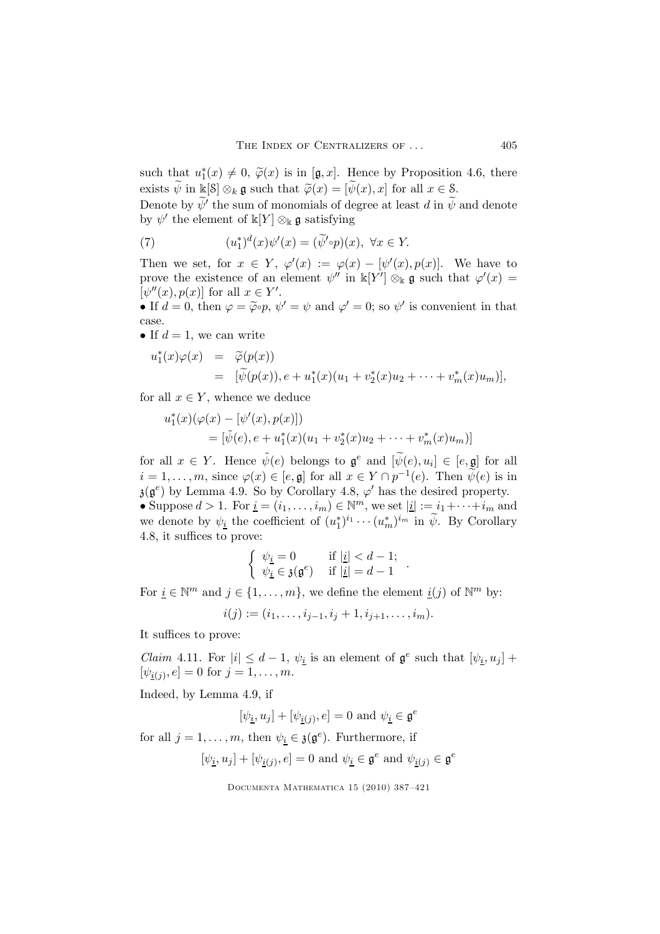such that  $u_1^*(x) \neq 0$ ,  $\widetilde{\varphi}(x)$  is in [g, x]. Hence by Proposition 4.6, there exists  $\widetilde{\psi}$  in k[S]  $\otimes_k \mathfrak{g}$  such that  $\widetilde{\varphi}(x) = [\widetilde{\psi}(x), x]$  for all  $x \in \mathcal{S}$ .

Denote by  $\psi'$  the sum of monomials of degree at least d in  $\psi$  and denote by  $\psi'$  the element of  $\mathbb{k}[Y] \otimes_{\mathbb{k}} \mathfrak{g}$  satisfying

(7) 
$$
(u_1^*)^d(x)\psi'(x) = (\widetilde{\psi}'\circ p)(x), \ \forall x \in Y.
$$

Then we set, for  $x \in Y$ ,  $\varphi'(x) := \varphi(x) - [\psi'(x), p(x)]$ . We have to prove the existence of an element  $\psi''$  in  $\mathbb{k}[Y'] \otimes_{\mathbb{k}} \mathfrak{g}$  such that  $\varphi'(x) =$  $[\psi''(x), p(x)]$  for all  $x \in Y'$ .

• If  $d = 0$ , then  $\varphi = \tilde{\varphi} \circ p$ ,  $\psi' = \psi$  and  $\varphi' = 0$ ; so  $\psi'$  is convenient in that case.

• If  $d = 1$ , we can write

$$
u_1^*(x)\varphi(x) = \widetilde{\varphi}(p(x))
$$
  
=  $[\widetilde{\psi}(p(x)), e + u_1^*(x)(u_1 + v_2^*(x)u_2 + \cdots + v_m^*(x)u_m)],$ 

for all  $x \in Y$ , whence we deduce

$$
u_1^*(x)(\varphi(x) - [\psi'(x), p(x)])
$$
  
=  $[\tilde{\psi}(e), e + u_1^*(x)(u_1 + v_2^*(x)u_2 + \dots + v_m^*(x)u_m)]$ 

for all  $x \in Y$ . Hence  $\tilde{\psi}(e)$  belongs to  $\mathfrak{g}^e$  and  $[\tilde{\psi}(e), u_i] \in [e, \mathfrak{g}]$  for all  $i = 1, \ldots, m$ , since  $\varphi(x) \in [e, \mathfrak{g}]$  for all  $x \in Y \cap p^{-1}(e)$ . Then  $\psi(e)$  is in  $\mathfrak{z}(\mathfrak{g}^e)$  by Lemma 4.9. So by Corollary 4.8,  $\varphi'$  has the desired property. • Suppose  $d > 1$ . For  $\underline{i} = (i_1, \ldots, i_m) \in \mathbb{N}^m$ , we set  $|\underline{i}| := i_1 + \cdots + i_m$  and we denote by  $\psi_{\underline{i}}$  the coefficient of  $(u_1^*)^{i_1} \cdots (u_m^*)^{i_m}$  in  $\widetilde{\psi}$ . By Corollary 4.8, it suffices to prove:

$$
\left\{\begin{array}{ll} \psi_{\underline{i}}=0 & \text{if }|\underline{i}|
$$

.

For  $\underline{i} \in \mathbb{N}^m$  and  $j \in \{1, \ldots, m\}$ , we define the element  $\underline{i}(j)$  of  $\mathbb{N}^m$  by:

$$
i(j) := (i_1, \ldots, i_{j-1}, i_j + 1, i_{j+1}, \ldots, i_m).
$$

It suffices to prove:

*Claim* 4.11. For  $|i| \leq d-1$ ,  $\psi_i$  is an element of  $\mathfrak{g}^e$  such that  $[\psi_i, u_j]$  +  $[\psi_{\underline{i}(j)}, e] = 0 \text{ for } j = 1, \ldots, m.$ 

Indeed, by Lemma 4.9, if

$$
[\psi_{\underline{i}}, u_j] + [\psi_{\underline{i}(j)}, e] = 0 \text{ and } \psi_{\underline{i}} \in \mathfrak{g}^e
$$

for all  $j = 1, \ldots, m$ , then  $\psi_{\underline{i}} \in \mathfrak{z}(\mathfrak{g}^e)$ . Furthermore, if

$$
[\psi_{\underline{i}}, u_j] + [\psi_{\underline{i}(j)}, e] = 0 \text{ and } \psi_{\underline{i}} \in \mathfrak{g}^e \text{ and } \psi_{\underline{i}(j)} \in \mathfrak{g}^e
$$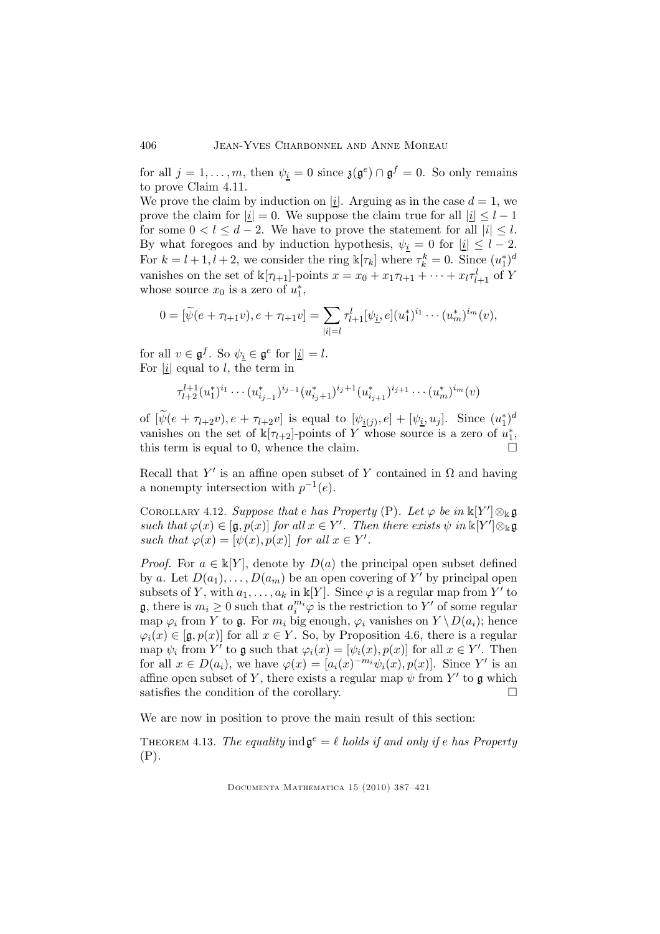for all  $j = 1, ..., m$ , then  $\psi_{\underline{i}} = 0$  since  $\mathfrak{z}(\mathfrak{g}^e) \cap \mathfrak{g}^f = 0$ . So only remains to prove Claim 4.11.

We prove the claim by induction on |i|. Arguing as in the case  $d = 1$ , we prove the claim for  $|\underline{i}| = 0$ . We suppose the claim true for all  $|\underline{i}| \leq l - 1$ for some  $0 < l \leq d-2$ . We have to prove the statement for all  $|i| \leq l$ . By what foregoes and by induction hypothesis,  $\psi_{i} = 0$  for  $|i| \leq l - 2$ . For  $k = l + 1, l + 2$ , we consider the ring  $\mathbb{k}[\tau_k]$  where  $\tau_k^k = 0$ . Since  $(u_1^*)^d$ vanishes on the set of  $\mathbb{k}[\tau_{l+1}]$ -points  $x = x_0 + x_1 \tau_{l+1} + \cdots + x_l \tau_{l+1}^l$  of Y whose source  $x_0$  is a zero of  $u_1^*$ ,

$$
0 = [\widetilde{\psi}(e + \tau_{l+1}v), e + \tau_{l+1}v] = \sum_{|i|=l} \tau_{l+1}^l [\psi_i, e](u_1^*)^{i_1} \cdots (u_m^*)^{i_m}(v),
$$

for all  $v \in \mathfrak{g}^f$ . So  $\psi_i \in \mathfrak{g}^e$  for  $|i| = l$ . For  $|i|$  equal to l, the term in

$$
\tau_{l+2}^{l+1}(u_1^*)^{i_1}\cdots (u_{i_{j-1}}^*)^{i_{j-1}}(u_{i_j+1}^*)^{i_j+1}(u_{i_{j+1}}^*)^{i_{j+1}}\cdots (u_m^*)^{i_m}(v)
$$

of  $[\tilde{\psi}(e + \tau_{l+2}v), e + \tau_{l+2}v]$  is equal to  $[\psi_{\underline{i}(j)}, e] + [\psi_{\underline{i}}, u_j]$ . Since  $(u_1^*)^d$ vanishes on the set of  $\mathbb{k}[\tau_{l+2}]$ -points of Y whose source is a zero of  $u_1^*$ , this term is equal to 0, whence the claim.

Recall that Y' is an affine open subset of Y contained in  $\Omega$  and having a nonempty intersection with  $p^{-1}(e)$ .

COROLLARY 4.12. Suppose that e has Property (P). Let  $\varphi$  be in  $\mathbb{k}[Y'] \otimes_{\mathbb{k}} \mathfrak{g}$ such that  $\varphi(x) \in [\mathfrak{g}, p(x)]$  for all  $x \in Y'$ . Then there exists  $\psi$  in  $\Bbbk[Y'] \otimes_{\Bbbk} \mathfrak{g}$ such that  $\varphi(x) = [\psi(x), p(x)]$  for all  $x \in Y'$ .

*Proof.* For  $a \in \mathbb{K}[Y]$ , denote by  $D(a)$  the principal open subset defined by a. Let  $D(a_1), \ldots, D(a_m)$  be an open covering of Y' by principal open subsets of Y, with  $a_1, \ldots, a_k$  in  $\mathbb{K}[Y]$ . Since  $\varphi$  is a regular map from Y' to **g**, there is  $m_i \geq 0$  such that  $a_i^{m_i} \varphi$  is the restriction to Y' of some regular map  $\varphi_i$  from Y to  $\mathfrak{g}$ . For  $m_i$  big enough,  $\varphi_i$  vanishes on  $Y \setminus D(a_i)$ ; hence  $\varphi_i(x) \in [\mathfrak{g},p(x)]$  for all  $x \in Y$ . So, by Proposition 4.6, there is a regular map  $\psi_i$  from Y' to  $\mathfrak g$  such that  $\varphi_i(x) = [\psi_i(x), p(x)]$  for all  $x \in Y'$ . Then for all  $x \in D(a_i)$ , we have  $\varphi(x) = [a_i(x)^{-m_i}\psi_i(x), p(x)]$ . Since Y' is an affine open subset of Y, there exists a regular map  $\psi$  from Y' to **g** which satisfies the condition of the corollary.  $\Box$ 

We are now in position to prove the main result of this section:

THEOREM 4.13. The equality  $\text{ind } \mathfrak{g}^e = \ell$  holds if and only if e has Property (P).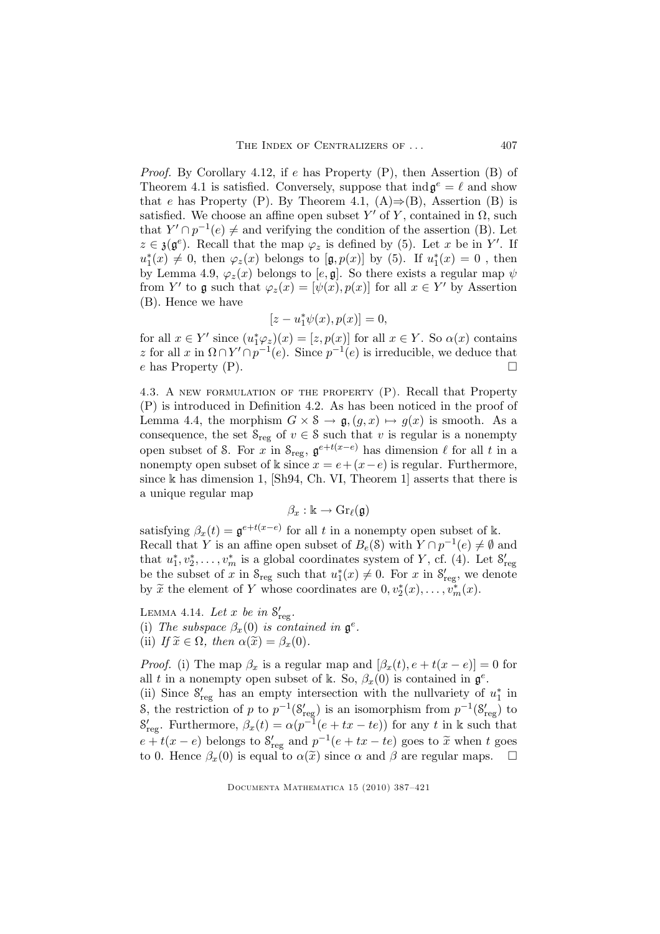*Proof.* By Corollary 4.12, if e has Property  $(P)$ , then Assertion  $(B)$  of Theorem 4.1 is satisfied. Conversely, suppose that  $\text{ind } \mathfrak{g}^e = \ell$  and show that e has Property (P). By Theorem 4.1,  $(A) \Rightarrow (B)$ , Assertion (B) is satisfied. We choose an affine open subset Y' of Y, contained in  $\Omega$ , such that  $Y' \cap p^{-1}(e) \neq$  and verifying the condition of the assertion (B). Let  $z \in \mathfrak{z}(\mathfrak{g}^e)$ . Recall that the map  $\varphi_z$  is defined by (5). Let x be in Y'. If  $u_1^*(x) \neq 0$ , then  $\varphi_z(x)$  belongs to [ $\mathfrak{g}, p(x)$ ] by (5). If  $u_1^*(x) = 0$ , then by Lemma 4.9,  $\varphi_z(x)$  belongs to  $[e, \mathfrak{g}]$ . So there exists a regular map  $\psi$ from Y' to g such that  $\varphi_z(x) = [\psi(x), p(x)]$  for all  $x \in Y'$  by Assertion (B). Hence we have

$$
[z-u_1^*\psi(x),p(x)]=0,
$$

for all  $x \in Y'$  since  $(u_1^*\varphi_z)(x) = [z, p(x)]$  for all  $x \in Y$ . So  $\alpha(x)$  contains z for all x in  $\Omega \cap Y' \cap p^{-1}(e)$ . Since  $p^{-1}(e)$  is irreducible, we deduce that e has Property  $(P)$ .

4.3. A new formulation of the property (P). Recall that Property (P) is introduced in Definition 4.2. As has been noticed in the proof of Lemma 4.4, the morphism  $G \times \mathcal{S} \to \mathfrak{g}, (g, x) \mapsto g(x)$  is smooth. As a consequence, the set  $S_{reg}$  of  $v \in S$  such that v is regular is a nonempty open subset of S. For x in  $S_{reg}$ ,  $\mathfrak{g}^{e+t(x-e)}$  has dimension  $\ell$  for all t in a nonempty open subset of k since  $x = e + (x - e)$  is regular. Furthermore, since k has dimension 1, [Sh94, Ch. VI, Theorem 1] asserts that there is a unique regular map

$$
\beta_x:\Bbbk\to \mathrm{Gr}_\ell(\mathfrak{g})
$$

satisfying  $\beta_x(t) = \mathfrak{g}^{e+t(x-e)}$  for all t in a nonempty open subset of k. Recall that Y is an affine open subset of  $B_e(S)$  with  $Y \cap p^{-1}(e) \neq \emptyset$  and that  $u_1^*, v_2^*, \ldots, v_m^*$  is a global coordinates system of Y, cf. (4). Let  $S'_{reg}$ be the subset of x in  $S_{reg}$  such that  $u_1^*(x) \neq 0$ . For x in  $S'_{reg}$ , we denote by  $\tilde{x}$  the element of Y whose coordinates are  $0, v_2^*(x), \ldots, v_m^*(x)$ .

LEMMA 4.14. Let x be in  $S'_{reg}$ . (i) The subspace  $\beta_x(0)$  is contained in  $\mathfrak{g}^e$ . (ii) If  $\widetilde{x} \in \Omega$ , then  $\alpha(\widetilde{x}) = \beta_x(0)$ .

*Proof.* (i) The map  $\beta_x$  is a regular map and  $[\beta_x(t), e + t(x - e)] = 0$  for all t in a nonempty open subset of k. So,  $\beta_x(0)$  is contained in  $\mathfrak{g}^e$ .

(ii) Since  $S'_{reg}$  has an empty intersection with the nullvariety of  $u_1^*$  in S, the restriction of p to  $p^{-1}(\mathcal{S}'_{reg})$  is an isomorphism from  $p^{-1}(\mathcal{S}'_{reg})$  to  $\mathcal{S}'_{\text{reg}}$ . Furthermore,  $\beta_x(t) = \alpha (p^{-1}(e + tx - te))$  for any t in k such that  $e + t(x - e)$  belongs to  $S'_{reg}$  and  $p^{-1}(e + tx - te)$  goes to  $\tilde{x}$  when t goes to 0. Hence  $\beta_x(0)$  is equal to  $\alpha(\tilde{x})$  since  $\alpha$  and  $\beta$  are regular maps.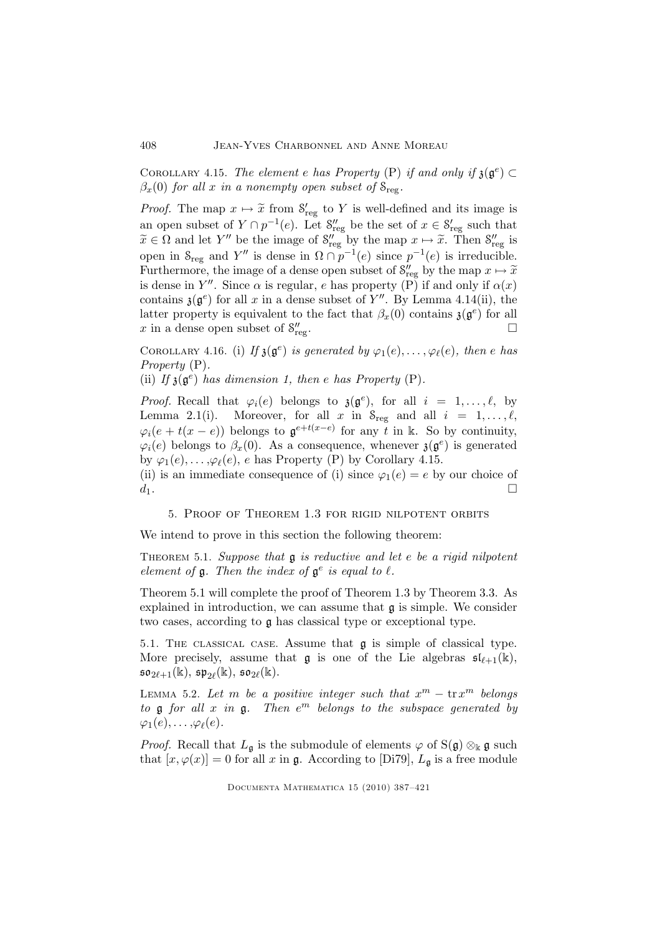COROLLARY 4.15. The element e has Property (P) if and only if  $\mathfrak{z}(\mathfrak{g}^e) \subset$  $\beta_x(0)$  for all x in a nonempty open subset of  $S_{\text{reg}}$ .

*Proof.* The map  $x \mapsto \tilde{x}$  from  $S'_{reg}$  to Y is well-defined and its image is an open subset of  $Y \cap p^{-1}(e)$ . Let  $S''_{reg}$  be the set of  $x \in S'_{reg}$  such that  $\widetilde{x} \in \Omega$  and let Y'' be the image of  $S''_{reg}$  by the map  $x \mapsto \widetilde{x}$ . Then  $S''_{reg}$  is open in  $S_{reg}$  and Y'' is dense in  $\Omega \cap p^{-1}(e)$  since  $p^{-1}(e)$  is irreducible. Furthermore, the image of a dense open subset of  $S''_{reg}$  by the map  $x \mapsto \tilde{x}$ is dense in Y''. Since  $\alpha$  is regular, e has property (P) if and only if  $\alpha(x)$ contains  $\mathfrak{z}(\mathfrak{g}^e)$  for all x in a dense subset of Y''. By Lemma 4.14(ii), the latter property is equivalent to the fact that  $\beta_x(0)$  contains  $\mathfrak{z}(\mathfrak{g}^e)$  for all x in a dense open subset of  $S''_{\text{re}}$  $r_{\text{reg}}$ .

COROLLARY 4.16. (i) If  $\mathfrak{z}(\mathfrak{g}^e)$  is generated by  $\varphi_1(e), \ldots, \varphi_\ell(e)$ , then e has Property  $(P)$ .

(ii) If  $\mathfrak{z}(\mathfrak{g}^e)$  has dimension 1, then e has Property (P).

*Proof.* Recall that  $\varphi_i(e)$  belongs to  $\mathfrak{z}(\mathfrak{g}^e)$ , for all  $i = 1, ..., \ell$ , by Lemma 2.1(i). Moreover, for all x in  $S_{reg}$  and all  $i = 1, \ldots, \ell$ ,  $\varphi_i(e + t(x - e))$  belongs to  $\mathfrak{g}^{e+t(x-e)}$  for any t in k. So by continuity,  $\varphi_i(e)$  belongs to  $\beta_x(0)$ . As a consequence, whenever  $\mathfrak{z}(\mathfrak{g}^e)$  is generated by  $\varphi_1(e), \ldots, \varphi_\ell(e), e$  has Property (P) by Corollary 4.15.

(ii) is an immediate consequence of (i) since  $\varphi_1(e) = e$  by our choice of  $d_1$ .

5. Proof of Theorem 1.3 for rigid nilpotent orbits

We intend to prove in this section the following theorem:

THEOREM 5.1. Suppose that  $\mathfrak g$  is reductive and let e be a rigid nilpotent element of  $\mathfrak g$ . Then the index of  $\mathfrak g^e$  is equal to  $\ell$ .

Theorem 5.1 will complete the proof of Theorem 1.3 by Theorem 3.3. As explained in introduction, we can assume that  $\mathfrak g$  is simple. We consider two cases, according to g has classical type or exceptional type.

5.1. The classical case. Assume that g is simple of classical type. More precisely, assume that  $\mathfrak g$  is one of the Lie algebras  $\mathfrak s\mathfrak l_{\ell+1}(\mathbb k)$ ,  $\mathfrak{so}_{2\ell+1}(\mathbb{k}), \, \mathfrak{sp}_{2\ell}(\mathbb{k}), \, \mathfrak{so}_{2\ell}(\mathbb{k}).$ 

LEMMA 5.2. Let m be a positive integer such that  $x^m - \text{tr} x^m$  belongs to  $\mathfrak g$  for all  $x$  in  $\mathfrak g$ . Then  $e^m$  belongs to the subspace generated by  $\varphi_1(e), \ldots, \varphi_\ell(e).$ 

*Proof.* Recall that  $L_{\mathfrak{g}}$  is the submodule of elements  $\varphi$  of  $S(\mathfrak{g}) \otimes_{\mathbb{k}} \mathfrak{g}$  such that  $[x,\varphi(x)] = 0$  for all x in g. According to [Di79],  $L_{\mathfrak{a}}$  is a free module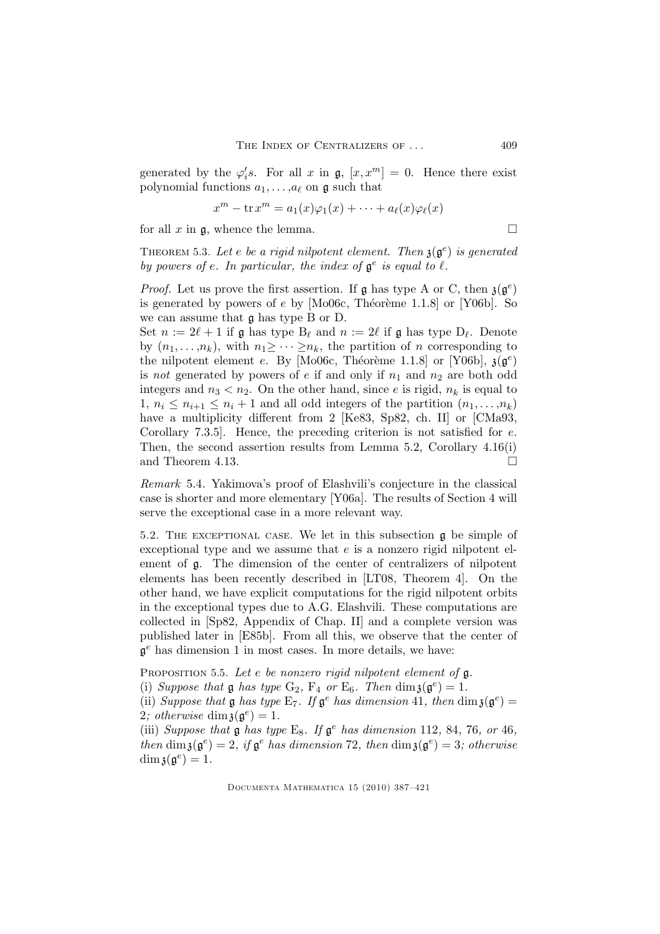generated by the  $\varphi'_i s$ . For all x in  $\mathfrak{g}, [x, x^m] = 0$ . Hence there exist polynomial functions  $a_1, \ldots, a_\ell$  on  $\mathfrak g$  such that

$$
x^m - \operatorname{tr} x^m = a_1(x)\varphi_1(x) + \cdots + a_\ell(x)\varphi_\ell(x)
$$

for all x in  $\mathfrak{g}$ , whence the lemma.

THEOREM 5.3. Let e be a rigid nilpotent element. Then  $\mathfrak{z}(\mathfrak{g}^e)$  is generated by powers of e. In particular, the index of  $\mathfrak{g}^e$  is equal to  $\ell$ .

*Proof.* Let us prove the first assertion. If  $\mathfrak g$  has type A or C, then  $\mathfrak z(\mathfrak g^e)$ is generated by powers of  $e$  by [Mo06c, Théorème 1.1.8] or [Y06b]. So we can assume that g has type B or D.

Set  $n := 2\ell + 1$  if  $\mathfrak g$  has type  $B_{\ell}$  and  $n := 2\ell$  if  $\mathfrak g$  has type  $D_{\ell}$ . Denote by  $(n_1,\ldots,n_k)$ , with  $n_1\geq \cdots \geq n_k$ , the partition of n corresponding to the nilpotent element e. By [Mo06c, Théorème 1.1.8] or [Y06b],  $\mathfrak{z}(\mathfrak{g}^e)$ is not generated by powers of e if and only if  $n_1$  and  $n_2$  are both odd integers and  $n_3 < n_2$ . On the other hand, since e is rigid,  $n_k$  is equal to 1,  $n_i \leq n_{i+1} \leq n_i + 1$  and all odd integers of the partition  $(n_1, \ldots, n_k)$ have a multiplicity different from 2 [Ke83, Sp82, ch. II] or [CMa93, Corollary 7.3.5]. Hence, the preceding criterion is not satisfied for e. Then, the second assertion results from Lemma 5.2, Corollary 4.16(i) and Theorem 4.13.

Remark 5.4. Yakimova's proof of Elashvili's conjecture in the classical case is shorter and more elementary [Y06a]. The results of Section 4 will serve the exceptional case in a more relevant way.

5.2. The exceptional case. We let in this subsection g be simple of exceptional type and we assume that  $e$  is a nonzero rigid nilpotent element of g. The dimension of the center of centralizers of nilpotent elements has been recently described in [LT08, Theorem 4]. On the other hand, we have explicit computations for the rigid nilpotent orbits in the exceptional types due to A.G. Elashvili. These computations are collected in [Sp82, Appendix of Chap. II] and a complete version was published later in [E85b]. From all this, we observe that the center of  $\mathfrak{g}^e$  has dimension 1 in most cases. In more details, we have:

PROPOSITION 5.5. Let  $e$  be nonzero rigid nilpotent element of  $\mathfrak{g}$ .

(i) Suppose that **g** has type  $G_2$ ,  $F_4$  or  $E_6$ . Then  $\dim \mathfrak{z}(\mathfrak{g}^e) = 1$ .

(ii) Suppose that  $\mathfrak g$  has type  $E_7$ . If  $\mathfrak g^e$  has dimension 41, then  $\dim \mathfrak g(\mathfrak g^e)$  = 2; otherwise  $\dim \mathfrak{z}(\mathfrak{g}^e) = 1$ .

(iii) Suppose that  $\mathfrak g$  has type E<sub>8</sub>. If  $\mathfrak g^e$  has dimension 112, 84, 76, or 46, then  $\dim \mathfrak{z}(\mathfrak{g}^e) = 2$ , if  $\mathfrak{g}^e$  has dimension 72, then  $\dim \mathfrak{z}(\mathfrak{g}^e) = 3$ ; otherwise  $\dim \mathfrak{z}(\mathfrak{g}^e) = 1.$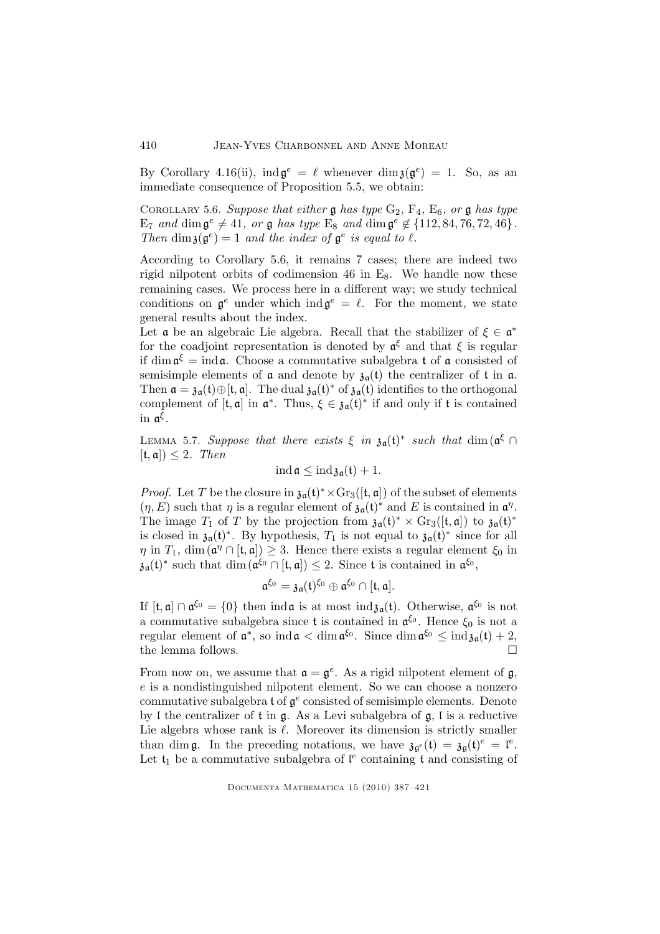By Corollary 4.16(ii),  $\text{ind}\,\mathfrak{g}^e = \ell$  whenever  $\dim \mathfrak{z}(\mathfrak{g}^e) = 1$ . So, as an immediate consequence of Proposition 5.5, we obtain:

COROLLARY 5.6. Suppose that either  $\mathfrak g$  has type  $G_2$ ,  $F_4$ ,  $E_6$ , or  $\mathfrak g$  has type  $E_7$  and  $\dim \mathfrak{g}^e \neq 41$ , or  $\mathfrak{g}$  has type  $E_8$  and  $\dim \mathfrak{g}^e \notin \{112, 84, 76, 72, 46\}$ . Then dim  $\mathfrak{z}(\mathfrak{g}^e) = 1$  and the index of  $\mathfrak{g}^e$  is equal to  $\ell$ .

According to Corollary 5.6, it remains 7 cases; there are indeed two rigid nilpotent orbits of codimension 46 in  $E_8$ . We handle now these remaining cases. We process here in a different way; we study technical conditions on  $\mathfrak{g}^e$  under which ind $\mathfrak{g}^e = \ell$ . For the moment, we state general results about the index.

Let  $\alpha$  be an algebraic Lie algebra. Recall that the stabilizer of  $\xi \in \alpha^*$ for the coadjoint representation is denoted by  $\mathfrak{a}^{\xi}$  and that  $\xi$  is regular if dim  $\mathfrak{a}^{\xi} = \text{ind}\,\mathfrak{a}$ . Choose a commutative subalgebra t of  $\mathfrak{a}$  consisted of semisimple elements of  $\alpha$  and denote by  $\mathfrak{z}_{\alpha}(t)$  the centralizer of  $t$  in  $\alpha$ . Then  $\mathfrak{a} = \mathfrak{z}_{\mathfrak{a}}(\mathfrak{t}) \oplus [\mathfrak{t}, \mathfrak{a}]$ . The dual  $\mathfrak{z}_{\mathfrak{a}}(\mathfrak{t})^*$  of  $\mathfrak{z}_{\mathfrak{a}}(\mathfrak{t})$  identifies to the orthogonal complement of  $[t, \mathfrak{a}]$  in  $\mathfrak{a}^*$ . Thus,  $\xi \in \mathfrak{z}_{\mathfrak{a}}(\mathfrak{t})^*$  if and only if  $\mathfrak{t}$  is contained in  $\mathfrak{a}^{\xi}$ .

LEMMA 5.7. Suppose that there exists  $\xi$  in  $\mathfrak{z}_{\mathfrak{a}}(\mathfrak{t})^*$  such that  $\dim (\mathfrak{a}^{\xi} \cap \mathfrak{a}^{\xi})$  $[t, \mathfrak{a}]\leq 2$ . Then

$$
\operatorname{ind} \mathfrak{a} \leq \operatorname{ind} \mathfrak{z}_{\mathfrak{a}}(\mathfrak{t}) + 1.
$$

*Proof.* Let T be the closure in  $\mathfrak{z}_{\mathfrak{a}}(\mathfrak{t})^* \times \text{Gr}_3([\mathfrak{t}, \mathfrak{a}])$  of the subset of elements  $(\eta, E)$  such that  $\eta$  is a regular element of  $\mathfrak{z}_{\mathfrak{a}}(\mathfrak{t})^*$  and E is contained in  $\mathfrak{a}^{\eta}$ . The image  $T_1$  of T by the projection from  $\mathfrak{z}_{\mathfrak{a}}(\mathfrak{t})^* \times \mathrm{Gr}_3([\mathfrak{t},\mathfrak{a}])$  to  $\mathfrak{z}_{\mathfrak{a}}(\mathfrak{t})^*$ is closed in  $\mathfrak{z}_{\mathfrak{a}}(\mathfrak{t})^*$ . By hypothesis,  $T_1$  is not equal to  $\mathfrak{z}_{\mathfrak{a}}(\mathfrak{t})^*$  since for all  $\eta$  in  $T_1$ , dim  $(\mathfrak{a}^\eta \cap [\mathfrak{t}, \mathfrak{a}]) \geq 3$ . Hence there exists a regular element  $\xi_0$  in  $\mathfrak{z}_{\mathfrak{a}}(\mathfrak{t})^*$  such that  $\dim (\mathfrak{a}^{\xi_0} \cap [\mathfrak{t}, \mathfrak{a}]) \leq 2$ . Since t is contained in  $\mathfrak{a}^{\xi_0}$ ,

$$
\mathfrak{a}^{\xi_0}=\mathfrak{z}_\mathfrak{a}(\mathfrak{t})^{\xi_0}\oplus \mathfrak{a}^{\xi_0}\cap [\mathfrak{t},\mathfrak{a}].
$$

If  $[t, \mathfrak{a}] \cap \mathfrak{a}^{\xi_0} = \{0\}$  then ind $\mathfrak{a}$  is at most ind $\mathfrak{z}_{\mathfrak{a}}(t)$ . Otherwise,  $\mathfrak{a}^{\xi_0}$  is not a commutative subalgebra since  $t$  is contained in  $\mathfrak{a}^{\xi_0}$ . Hence  $\xi_0$  is not a regular element of  $\mathfrak{a}^*$ , so ind  $\mathfrak{a} < \dim \mathfrak{a}^{\xi_0}$ . Since  $\dim \mathfrak{a}^{\xi_0} \leq \mathrm{ind}_{\mathfrak{z} \mathfrak{a}}(\mathfrak{t}) + 2$ , the lemma follows.

From now on, we assume that  $\mathfrak{a} = \mathfrak{g}^e$ . As a rigid nilpotent element of  $\mathfrak{g}$ , e is a nondistinguished nilpotent element. So we can choose a nonzero commutative subalgebra  $\mathfrak t$  of  $\mathfrak g^e$  consisted of semisimple elements. Denote by I the centralizer of  $t$  in  $\mathfrak{g}$ . As a Levi subalgebra of  $\mathfrak{g}$ , I is a reductive Lie algebra whose rank is  $\ell$ . Moreover its dimension is strictly smaller than dim **g**. In the preceding notations, we have  $\mathfrak{z}_{\mathfrak{g}^e}(\mathfrak{t}) = \mathfrak{z}_{\mathfrak{g}}(\mathfrak{t})^e = \mathfrak{l}^e$ . Let  $\mathfrak{t}_1$  be a commutative subalgebra of  $\mathfrak{l}^e$  containing  $\mathfrak{t}$  and consisting of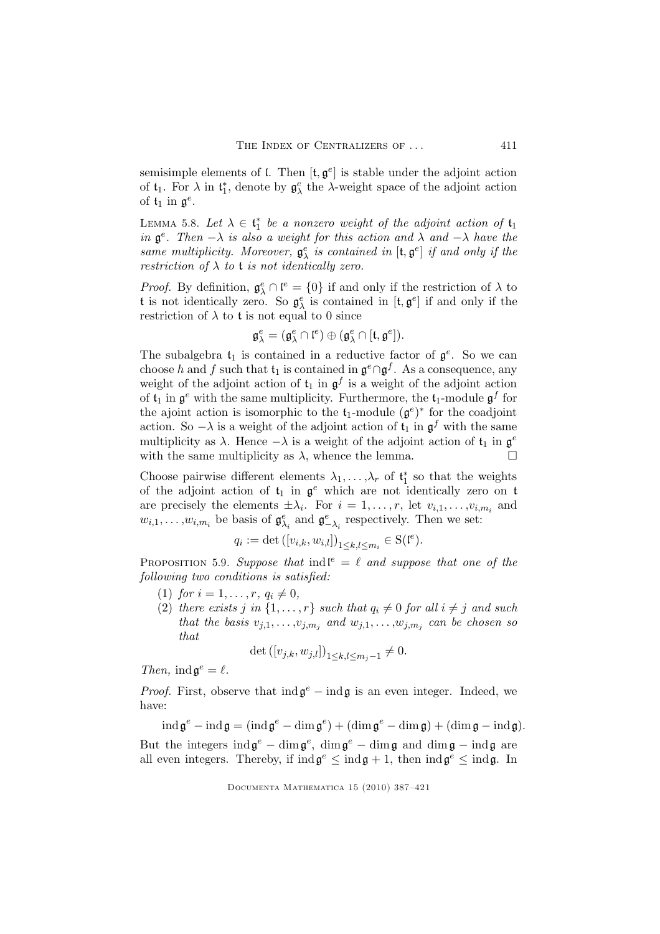semisimple elements of  $\mathfrak l$ . Then  $[\mathfrak t, \mathfrak g^e]$  is stable under the adjoint action of  $t_1$ . For  $\lambda$  in  $t_1^*$ , denote by  $g_\lambda^e$  the  $\lambda$ -weight space of the adjoint action of  $t_1$  in  $\mathfrak{g}^e$ .

LEMMA 5.8. Let  $\lambda \in \mathfrak{t}_1^*$  be a nonzero weight of the adjoint action of  $\mathfrak{t}_1$ in  $\mathfrak{g}^e$ . Then  $-\lambda$  is also a weight for this action and  $\lambda$  and  $-\lambda$  have the same multiplicity. Moreover,  $\mathfrak{g}^e_{\lambda}$  is contained in  $[\mathfrak{t}, \mathfrak{g}^e]$  if and only if the restriction of  $\lambda$  to t is not identically zero.

*Proof.* By definition,  $\mathfrak{g}_{\lambda}^e \cap \mathfrak{l}^e = \{0\}$  if and only if the restriction of  $\lambda$  to t is not identically zero. So  $\mathfrak{g}^e_\lambda$  is contained in  $[\mathfrak{t}, \mathfrak{g}^e]$  if and only if the restriction of  $\lambda$  to t is not equal to 0 since

$$
\mathfrak{g}^e_\lambda=(\mathfrak{g}^e_\lambda\cap \mathfrak{l}^e)\oplus(\mathfrak{g}^e_\lambda\cap [\mathfrak{t},\mathfrak{g}^e]).
$$

The subalgebra  $\mathfrak{t}_1$  is contained in a reductive factor of  $\mathfrak{g}^e$ . So we can choose h and f such that  $\mathfrak{t}_1$  is contained in  $\mathfrak{g}^e \cap \mathfrak{g}^f$ . As a consequence, any weight of the adjoint action of  $\mathfrak{t}_1$  in  $\mathfrak{g}^f$  is a weight of the adjoint action of  $\mathfrak{t}_1$  in  $\mathfrak{g}^e$  with the same multiplicity. Furthermore, the  $\mathfrak{t}_1$ -module  $\mathfrak{g}^f$  for the ajoint action is isomorphic to the  $t_1$ -module  $(g^e)^*$  for the coadjoint action. So  $-\lambda$  is a weight of the adjoint action of  $\mathfrak{t}_1$  in  $\mathfrak{g}^f$  with the same multiplicity as  $\lambda$ . Hence  $-\lambda$  is a weight of the adjoint action of  $\mathfrak{t}_1$  in  $\mathfrak{g}^e$ with the same multiplicity as  $\lambda$ , whence the lemma.  $\Box$ 

Choose pairwise different elements  $\lambda_1, \ldots, \lambda_r$  of  $\mathfrak{t}_1^*$  so that the weights of the adjoint action of  $t_1$  in  $\mathfrak{g}^e$  which are not identically zero on  $t$ are precisely the elements  $\pm \lambda_i$ . For  $i = 1, \ldots, r$ , let  $v_{i,1}, \ldots, v_{i,m_i}$  and  $w_{i,1}, \ldots, w_{i,m_i}$  be basis of  $\mathfrak{g}_{\lambda_i}^e$  and  $\mathfrak{g}_{-\lambda_i}^e$  respectively. Then we set:

$$
q_i := \det([v_{i,k},w_{i,l}])_{1 \leq k,l \leq m_i} \in \mathcal{S}(\mathfrak{l}^e).
$$

PROPOSITION 5.9. Suppose that indl<sup>e</sup> =  $\ell$  and suppose that one of the following two conditions is satisfied:

- (1) for  $i = 1, ..., r, q_i \neq 0$ ,
- (2) there exists j in  $\{1,\ldots,r\}$  such that  $q_i \neq 0$  for all  $i \neq j$  and such that the basis  $v_{j,1}, \ldots, v_{j,m_j}$  and  $w_{j,1}, \ldots, w_{j,m_j}$  can be chosen so that

$$
\det([v_{j,k}, w_{j,l}])_{1 \leq k,l \leq m_j - 1} \neq 0.
$$

Then,  $\text{ind}\,\mathfrak{g}^e=\ell$ .

*Proof.* First, observe that  $\text{ind}\,\mathfrak{g}^e$  –  $\text{ind}\,\mathfrak{g}$  is an even integer. Indeed, we have:

 $\operatorname{ind} \mathfrak{g}^e - \operatorname{ind} \mathfrak{g} = (\operatorname{ind} \mathfrak{g}^e - \operatorname{dim} \mathfrak{g}^e) + (\operatorname{dim} \mathfrak{g}^e - \operatorname{dim} \mathfrak{g}) + (\operatorname{dim} \mathfrak{g} - \operatorname{ind} \mathfrak{g}).$ But the integers  $\text{ind}\,\mathfrak{g}^e - \text{dim}\,\mathfrak{g}^e$ ,  $\text{dim}\,\mathfrak{g}^e - \text{dim}\,\mathfrak{g}$  and  $\text{dim}\,\mathfrak{g} - \text{ind}\,\mathfrak{g}$  are all even integers. Thereby, if  $\text{ind}\mathfrak{g}^e \leq \text{ind}\mathfrak{g} + 1$ , then  $\text{ind}\mathfrak{g}^e \leq \text{ind}\mathfrak{g}$ . In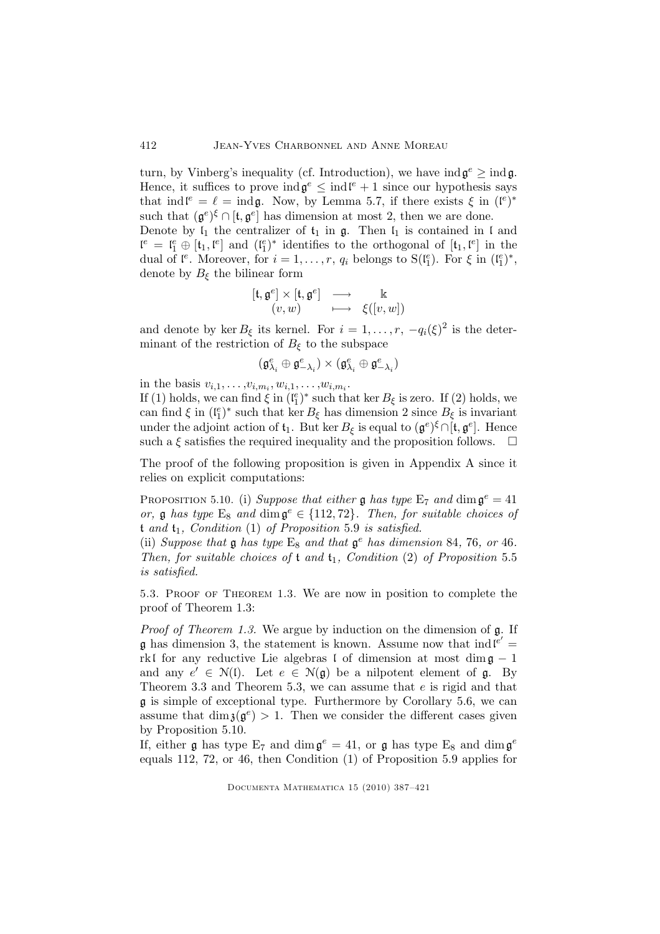turn, by Vinberg's inequality (cf. Introduction), we have  $\text{ind}\,\mathfrak{g}^e \geq \text{ind}\,\mathfrak{g}$ . Hence, it suffices to prove  $\text{ind}\mathfrak{g}^e \leq \text{ind}\mathfrak{l}^e + 1$  since our hypothesis says that ind  $\mathbf{l}^e = \ell = \text{ind}\mathfrak{g}$ . Now, by Lemma 5.7, if there exists  $\xi$  in  $(\mathbf{l}^e)^*$ such that  $(\mathfrak{g}^e)^\xi \cap [\mathfrak{t}, \mathfrak{g}^e]$  has dimension at most 2, then we are done.

Denote by  $I_1$  the centralizer of  $t_1$  in  $g$ . Then  $I_1$  is contained in  $I$  and  $\mathfrak{l}^e = \mathfrak{l}^e_1 \oplus [\mathfrak{t}_1, \mathfrak{l}^e]$  and  $(\mathfrak{l}^e_1)^*$  identifies to the orthogonal of  $[\mathfrak{t}_1, \mathfrak{l}^e]$  in the dual of  $\mathfrak{l}^e$ . Moreover, for  $i = 1, \ldots, r$ ,  $q_i$  belongs to  $S(\mathfrak{l}_1^e)$ . For  $\xi$  in  $(\mathfrak{l}_1^e)^*$ , denote by  $B_{\xi}$  the bilinear form

$$
\begin{array}{ccc} [\mathfrak{t}, \mathfrak{g}^e] \times [\mathfrak{t}, \mathfrak{g}^e] & \longrightarrow & \mathbb{k} \\ (v, w) & \longmapsto & \xi([v, w]) \end{array}
$$

and denote by ker  $B_{\xi}$  its kernel. For  $i = 1, \ldots, r, -q_i(\xi)^2$  is the determinant of the restriction of  $B_{\xi}$  to the subspace

$$
(\mathfrak{g}^e_{\lambda_i}\oplus \mathfrak{g}^e_{-\lambda_i})\times (\mathfrak{g}^e_{\lambda_i}\oplus \mathfrak{g}^e_{-\lambda_i})
$$

in the basis  $v_{i,1}, \ldots, v_{i,m_i}, w_{i,1}, \ldots, w_{i,m_i}$ .

If (1) holds, we can find  $\xi$  in  $(\mathfrak{l}_1^e)^*$  such that ker  $B_{\xi}$  is zero. If (2) holds, we can find  $\xi$  in  $(\mathfrak{l}_1^e)^*$  such that ker  $B_{\xi}$  has dimension 2 since  $B_{\xi}$  is invariant under the adjoint action of  $\mathfrak{t}_1$ . But ker  $B_{\xi}$  is equal to  $(\mathfrak{g}^e)^{\xi} \cap [\mathfrak{t}, \mathfrak{g}^e]$ . Hence such a  $\xi$  satisfies the required inequality and the proposition follows.  $\Box$ 

The proof of the following proposition is given in Appendix A since it relies on explicit computations:

PROPOSITION 5.10. (i) Suppose that either  $\mathfrak g$  has type  $\mathrm E_7$  and  $\dim \mathfrak g^e = 41$ or,  $\mathfrak g$  has type  $E_8$  and  $\dim \mathfrak g^e \in \{112, 72\}$ . Then, for suitable choices of t and  $t_1$ , Condition  $(1)$  of Proposition 5.9 is satisfied.

(ii) Suppose that  $\mathfrak g$  has type  $E_8$  and that  $\mathfrak g^e$  has dimension 84, 76, or 46. Then, for suitable choices of  $t$  and  $t_1$ , Condition (2) of Proposition 5.5 is satisfied.

5.3. Proof of Theorem 1.3. We are now in position to complete the proof of Theorem 1.3:

Proof of Theorem 1.3. We argue by induction on the dimension of  $\mathfrak{g}$ . If **g** has dimension 3, the statement is known. Assume now that  $ind^{e'} =$ rkl for any reductive Lie algebras l of dimension at most dim $\mathfrak{g} - 1$ and any  $e' \in \mathcal{N}(l)$ . Let  $e \in \mathcal{N}(g)$  be a nilpotent element of g. By Theorem 3.3 and Theorem 5.3, we can assume that e is rigid and that g is simple of exceptional type. Furthermore by Corollary 5.6, we can assume that  $\dim \mathfrak{z}(\mathfrak{g}^e) > 1$ . Then we consider the different cases given by Proposition 5.10.

If, either  $\mathfrak g$  has type  $E_7$  and  $\dim \mathfrak g^e = 41$ , or  $\mathfrak g$  has type  $E_8$  and  $\dim \mathfrak g^e$ equals 112, 72, or 46, then Condition (1) of Proposition 5.9 applies for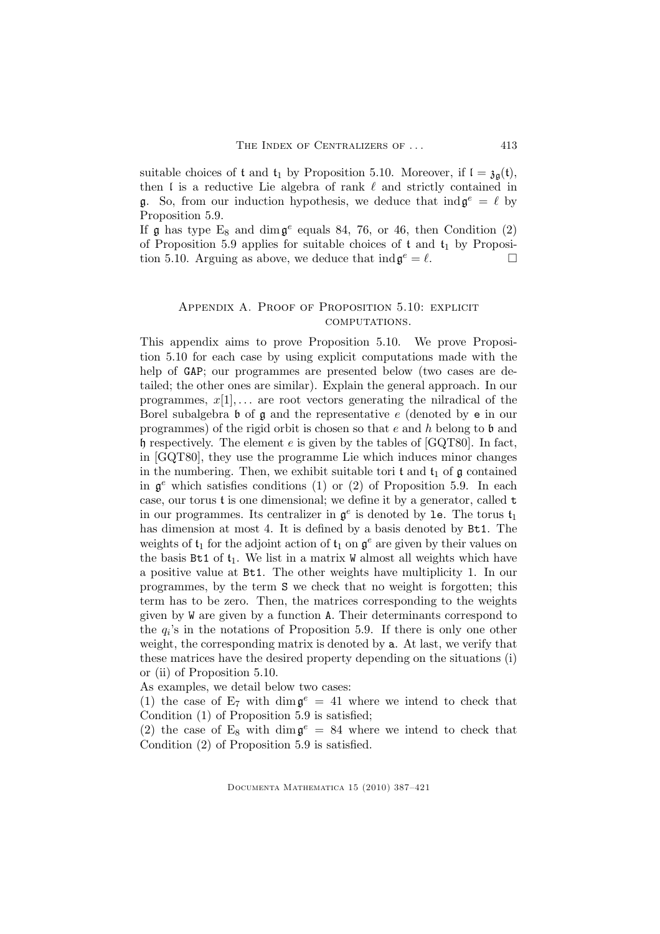suitable choices of t and  $t_1$  by Proposition 5.10. Moreover, if  $I = \mathfrak{z}_{\mathfrak{a}}(t)$ , then  $\mathfrak l$  is a reductive Lie algebra of rank  $\ell$  and strictly contained in **g**. So, from our induction hypothesis, we deduce that  $ind \mathfrak{g}^e = \ell$  by Proposition 5.9.

If  $\mathfrak g$  has type  $E_8$  and  $\dim \mathfrak g^e$  equals 84, 76, or 46, then Condition (2) of Proposition 5.9 applies for suitable choices of  $t$  and  $t_1$  by Proposition 5.10. Arguing as above, we deduce that  $\text{ind}\,\mathfrak{g}^e = \ell$ .

## APPENDIX A. PROOF OF PROPOSITION 5.10: EXPLICIT computations.

This appendix aims to prove Proposition 5.10. We prove Proposition 5.10 for each case by using explicit computations made with the help of GAP; our programmes are presented below (two cases are detailed; the other ones are similar). Explain the general approach. In our programmes,  $x[1], \ldots$  are root vectors generating the nilradical of the Borel subalgebra  $\mathfrak b$  of  $\mathfrak g$  and the representative e (denoted by  $e$  in our programmes) of the rigid orbit is chosen so that  $e$  and  $h$  belong to  $\mathfrak b$  and  $\n *h*$  respectively. The element  $e$  is given by the tables of [GQT80]. In fact, in [GQT80], they use the programme Lie which induces minor changes in the numbering. Then, we exhibit suitable tori  $t$  and  $t_1$  of  $\mathfrak g$  contained in  $\mathfrak{g}^e$  which satisfies conditions (1) or (2) of Proposition 5.9. In each case, our torus t is one dimensional; we define it by a generator, called t in our programmes. Its centralizer in  $\mathfrak{g}^e$  is denoted by le. The torus  $\mathfrak{t}_1$ has dimension at most 4. It is defined by a basis denoted by Bt1. The weights of  $\mathfrak{t}_1$  for the adjoint action of  $\mathfrak{t}_1$  on  $\mathfrak{g}^e$  are given by their values on the basis  $Bt1$  of  $t_1$ . We list in a matrix W almost all weights which have a positive value at Bt1. The other weights have multiplicity 1. In our programmes, by the term S we check that no weight is forgotten; this term has to be zero. Then, the matrices corresponding to the weights given by W are given by a function A. Their determinants correspond to the  $q_i$ 's in the notations of Proposition 5.9. If there is only one other weight, the corresponding matrix is denoted by a. At last, we verify that these matrices have the desired property depending on the situations (i) or (ii) of Proposition 5.10.

As examples, we detail below two cases:

(1) the case of  $E_7$  with  $\dim \mathfrak{g}^e = 41$  where we intend to check that Condition (1) of Proposition 5.9 is satisfied;

(2) the case of  $E_8$  with dim  $\mathfrak{g}^e = 84$  where we intend to check that Condition (2) of Proposition 5.9 is satisfied.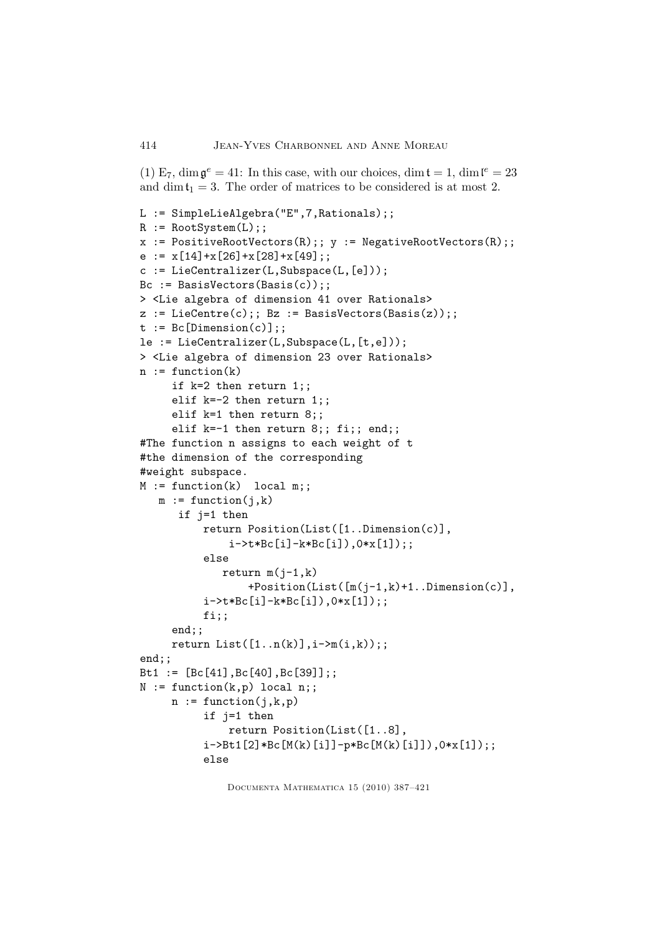(1)  $E_7$ ,  $\dim \mathfrak{g}^e = 41$ : In this case, with our choices,  $\dim \mathfrak{t} = 1$ ,  $\dim \mathfrak{l}^e = 23$ and dimt<sub>1</sub> = 3. The order of matrices to be considered is at most 2.

```
L := SimpleLieAlgebra("E",7,Rationals);;
R := \text{RootSystem}(L);
x := PostiveRootVectors(R);; y := NegativeRootVectors(R);;
e := x[14]+x[26]+x[28]+x[49];
c := LieCentralizer(L,Subspace(L, [e]));
Bc := BasisVectors(Basis(c));;
> <Lie algebra of dimension 41 over Rationals>
z := \text{LieCentre}(c);; Bz := BasisVectors(Basis(z));;
t := Bc[Dimension(c)],le := LieCentralizer(L,Subspace(L,[t,e]));
> <Lie algebra of dimension 23 over Rationals>
n := function(k)if k=2 then return 1;;
     elif k=-2 then return 1;;
     elif k=1 then return 8;;
     elif k=-1 then return 8;; fi;; end;;
#The function n assigns to each weight of t
#the dimension of the corresponding
#weight subspace.
M := function(k) local m;;
  m := function(i, k)if j=1 then
          return Position(List([1..Dimension(c)],
              i->t*Bc[i]-k*Bc[i]),0*x[1]);;
          else
             return m(j-1,k)+Position(List([m(j-1,k)+1..Dimension(c)],
          i->t*Bc[i]-k*Bc[i]),0*x[1]);;
          fi;;
     end;;
     return List([1..n(k)],i-\geq m(i,k));;end;;
Bt1 := [Bc[41],Bc[40],Bc[39]];;
N := function(k, p) local n;;
     n := function(j,k,p)if j=1 then
              return Position(List([1..8],
          i->Bt1[2]*Bc[M(k)[i]]-p*Bc[M(k)[i]]),0*x[1]);;
          else
```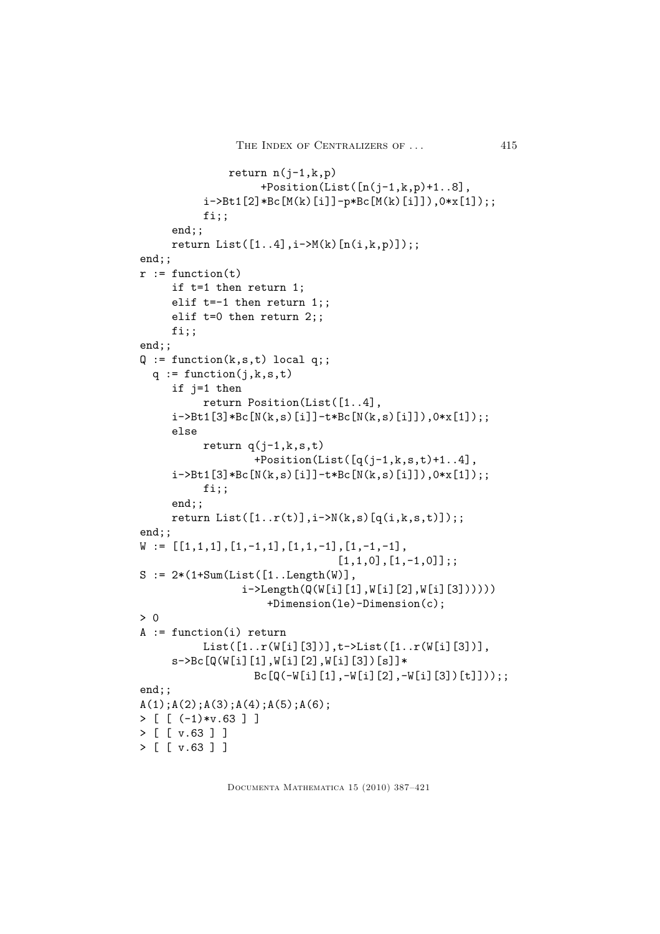```
return n(j-1,k,p)+Position(List([n(j-1,k,p)+1..8],
          i->Bt1[2]*Bc[M(k)[i]]-p*Bc[M(k)[i]]),0*x[1]);;
          fi;;
     end;;
     return List([1..4],i->M(k)[n(i,k,p)]);;end;;
r := function(t)if t=1 then return 1;
     elif t=-1 then return 1;;
     elif t=0 then return 2;;
     fi;;
end;;
Q := function(k, s, t) local q;;
  q := function(j,k,s,t)if j=1 then
          return Position(List([1..4],
     i->Bt1[3]*Bc[N(k,s)[i]]-t*Bc[N(k,s)[i]]),0*x[1]);;
     else
          return q(j-1,k,s,t)+Position(List([q(j-1,k,s,t)+1..4],
     i->Bt1[3]*Bc[N(k,s)[i]]-t*Bc[N(k,s)[i]]),0*x[1]);;
          fi;;
     end;;
     return List([1..r(t)],i\rightarrow N(k,s)[q(i,k,s,t)]);;
end;;
W := [[1,1,1],[1,-1,1],[1,1,-1],[1,-1,-1],[1,1,0],[1,-1,0];;
S := 2*(1+Sum(List([1..Length(W)]))i->Length(Q(W[i][1],W[i][2],W[i][3])))))
                    +Dimension(le)-Dimension(c);
> 0
A := function(i) return
          List([1..r(W[i][3])],t->List([1..r(W[i][3])],
     s->Bc[Q(W[i][1],W[i][2],W[i][3])[s]]*
                  Bc[Q(-W[i][1], -W[i][2], -W[i][3])[t]]));;
end;;
A(1); A(2); A(3); A(4); A(5); A(6);> [ [ (-1)*v.63 ] ]
> [ [ v.63 ] ]
> [ [ v.63 ] ]
```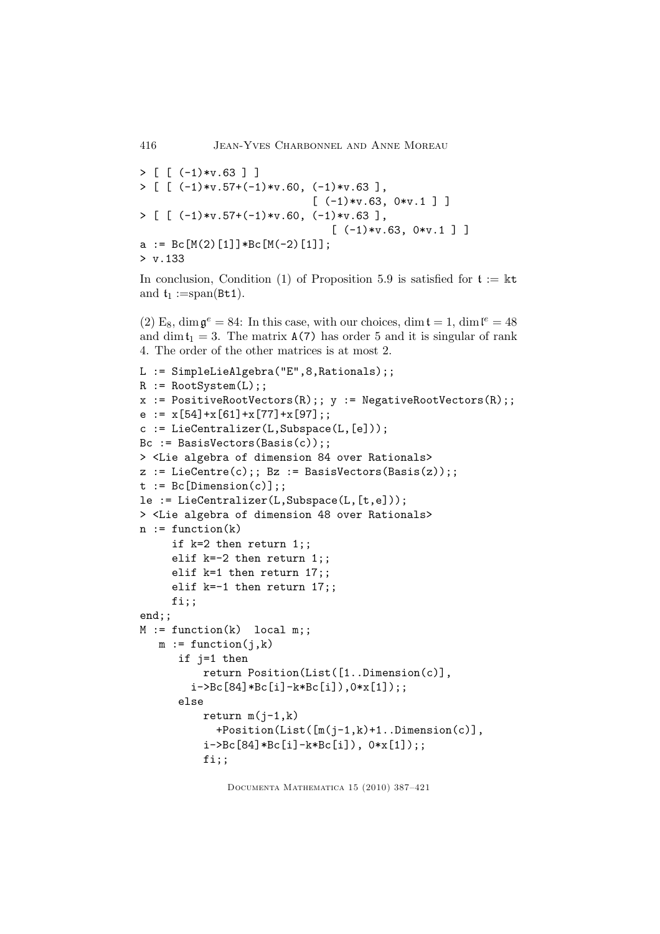```
> [ [ (-1)*v.63 ] ]
> [ [ (-1)*v.57+(-1)*v.60, (-1)*v.63 ],
                          [-1)*v.63, 0*v.1]> [\, [ (-1)*v.57+(-1)*v.60, (-1)*v.63],
                             [-(1)*v.63, 0*v.1]a := Bc[M(2)[1]]*Bc[M(-2)[1]];
> v.133
```
In conclusion, Condition (1) of Proposition 5.9 is satisfied for  $t := \mathbb{k}t$ and  $t_1 := span(Bt1)$ .

(2) E<sub>8</sub>, dim  $\mathfrak{g}^e = 84$ : In this case, with our choices, dim  $\mathfrak{t} = 1$ , dim  $\mathfrak{l}^e = 48$ and dim $t_1 = 3$ . The matrix  $A(7)$  has order 5 and it is singular of rank 4. The order of the other matrices is at most 2.

```
L := SimpleLieAlgebra("E",8,Rationals);;
R := RootSystem(L);
x := PostiveRootVectors(R);; y := NegativeRootVectors(R);e := x[54]+x[61]+x[77]+x[97];
c := LieCentralizer(L,Subspace(L, [e]));
Bc := BasisVectors(Basis(c));;
> <Lie algebra of dimension 84 over Rationals>
z := \text{LieCentre}(c);; Bz := BasisVectors(Basis(z));;
t := Bc[Dimension(c)],le := LieCentralizer(L,Subspace(L,[t,e]));
> <Lie algebra of dimension 48 over Rationals>
n := function(k)if k=2 then return 1;;
     elif k=-2 then return 1;;
     elif k=1 then return 17;;
     elif k=-1 then return 17;;
    fi;;
end;;
M := function(k) local m;;
  m := function(i, k)if j=1 then
          return Position(List([1..Dimension(c)],
        i->Bc[84]*Bc[i]-k*Bc[i]),0*x[1]);;
      else
          return m(i-1,k)+Position(List([m(j-1,k)+1..Dimension(c)],
          i->Bc[84]*Bc[i]-k*Bc[i]), 0*x[1]);;
          fi;;
```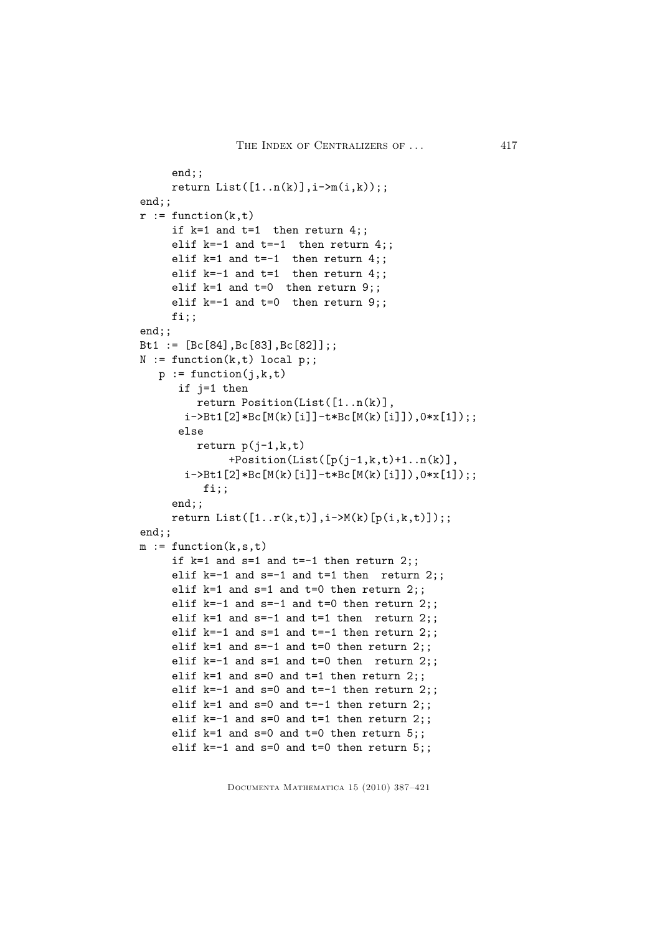```
end;;
     return List([1..n(k)],i-\geq m(i,k));;
end;;
r := function(k, t)if k=1 and t=1 then return 4:
     elif k=-1 and t=-1 then return 4;;
     elif k=1 and t=-1 then return 4;;
     elif k=-1 and t=1 then return 4;;
    elif k=1 and t=0 then return 9;;
     elif k=-1 and t=0 then return 9;;
     fi;;
end;;
Bt1 := [Bc[84],Bc[83],Bc[82]];;
N := function(k, t) local p;;
  p := function(j, k, t)if j=1 then
         return Position(List([1..n(k)],
       i->Bt1[2]*Bc[M(k)[i]]-t*Bc[M(k)[i]]),0*x[1]);;
      else
         return p(i-1,k,t)+Position(List([p(j-1,k,t)+1..n(k)],
       i->Bt1[2]*Bc[M(k)[i]]-t*Bc[M(k)[i]]),0*x[1]);;
          fi;;
     end;;
     return List([1..r(k,t)],i->M(k)[p(i,k,t)]);;end;;
m := function(k, s, t)if k=1 and s=1 and t=-1 then return 2;;
     elif k=-1 and s=-1 and t=1 then return 2;;
     elif k=1 and s=1 and t=0 then return 2;;
     elif k=-1 and s=-1 and t=0 then return 2;;
     elif k=1 and s=-1 and t=1 then return 2;;
     elif k=-1 and s=1 and t=-1 then return 2;;
     elif k=1 and s=-1 and t=0 then return 2;;
    elif k=-1 and s=1 and t=0 then return 2;;
    elif k=1 and s=0 and t=1 then return 2;;
     elif k=-1 and s=0 and t=-1 then return 2;;
     elif k=1 and s=0 and t=-1 then return 2;;
    elif k=-1 and s=0 and t=1 then return 2;;
     elif k=1 and s=0 and t=0 then return 5;;
     elif k=-1 and s=0 and t=0 then return 5;;
```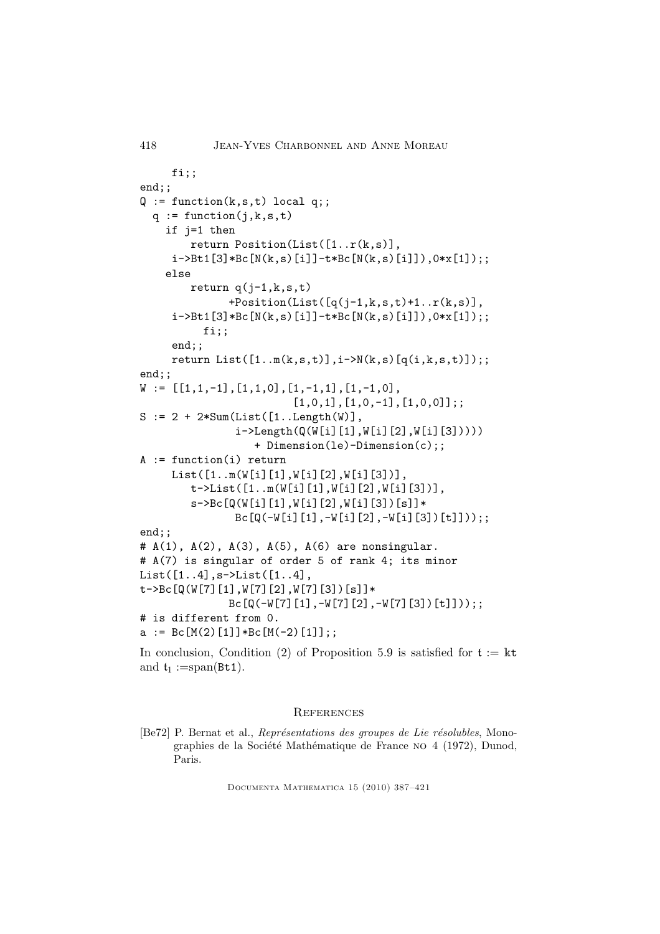```
418 Jean-Yves Charbonnel and Anne Moreau
     fi;;
end;;
Q := function(k, s, t) local q;;
 q := function(j,k,s,t)if j=1 then
        return Position(List([1..r(k,s)],
     i->Bt1[3]*Bc[N(k,s)[i]]-t*Bc[N(k,s)[i]]),0*x[1]);;
    else
       return q(i-1,k,s,t)+Position(List([q(j-1,k,s,t)+1..r(k,s)],
     i->Bt1[3]*Bc[N(k,s)[i]]-t*Bc[N(k,s)[i]]),0*x[1]);;
          fi;;
     end;;
     return List([1..m(k,s,t)],i->N(k,s)[q(i,k,s,t)]);;end::
W := [[1,1,-1],[1,1,0],[1,-1,1],[1,-1,0],[1,0,1],[1,0,-1],[1,0,0]];;
S := 2 + 2*Sum(List([1..Length(W)],i->Length(Q(W[i][1],W[i][2],W[i][3]))))
                  + Dimension(le)-Dimension(c);;
A := function(i) return
     List([1..m(W[i][1],W[i][2],W[i][3])],
        t->List([1..m(W[i][1],W[i][2],W[i][3])],
        s->Bc[Q(W[i][1],W[i][2],W[i][3])[s]]*
               Bc[Q(-W[i][1],-W[i][2],-W[i][3])[t]]));;
end;;
# A(1), A(2), A(3), A(5), A(6) are nonsingular.
# A(7) is singular of order 5 of rank 4; its minor
List([1..4],s->List([1..4],
t->Bc[Q(W[7][1],W[7][2],W[7][3])[s]]*
              Bc[Q(-W[7][1], -W[7][2], -W[7][3])[t]]));;
# is different from 0.
a := Bc[M(2)[1]]*Bc[M(-2)[1]];
```
In conclusion, Condition (2) of Proposition 5.9 is satisfied for  $t := \mathbb{k}t$ and  $t_1 := span(Bt1)$ .

#### **REFERENCES**

[Be72] P. Bernat et al., Représentations des groupes de Lie résolubles, Monographies de la Société Mathématique de France NO 4 (1972), Dunod, Paris.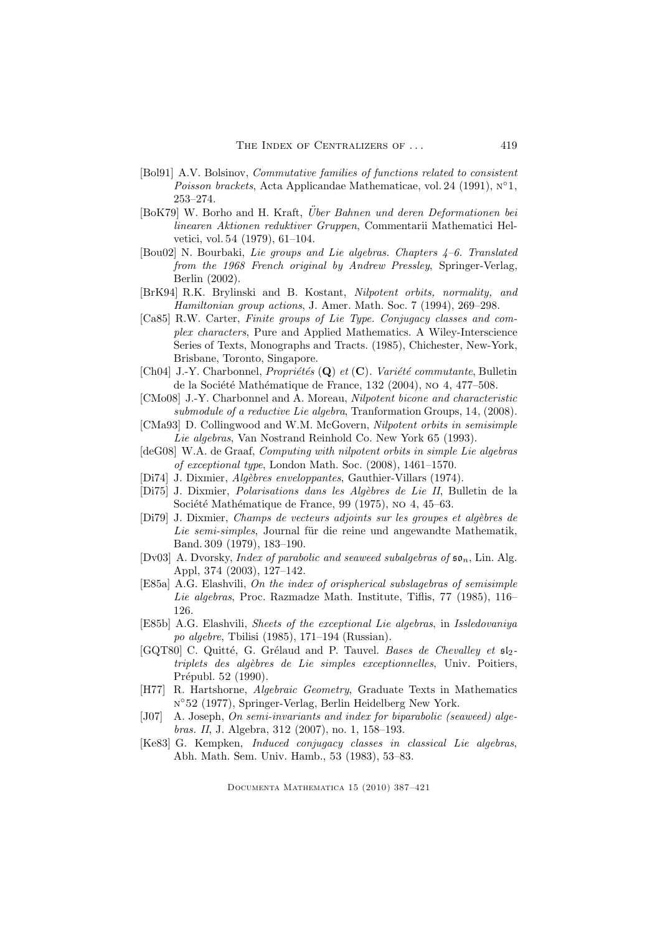- [Bol91] A.V. Bolsinov, Commutative families of functions related to consistent Poisson brackets, Acta Applicandae Mathematicae, vol. 24 (1991), n ◦1, 253–274.
- [BoK79] W. Borho and H. Kraft, Über Bahnen und deren Deformationen bei linearen Aktionen reduktiver Gruppen, Commentarii Mathematici Helvetici, vol. 54 (1979), 61–104.
- [Bou02] N. Bourbaki, Lie groups and Lie algebras. Chapters 4–6. Translated from the 1968 French original by Andrew Pressley, Springer-Verlag, Berlin (2002).
- [BrK94] R.K. Brylinski and B. Kostant, Nilpotent orbits, normality, and Hamiltonian group actions, J. Amer. Math. Soc. 7 (1994), 269–298.
- [Ca85] R.W. Carter, Finite groups of Lie Type. Conjugacy classes and complex characters, Pure and Applied Mathematics. A Wiley-Interscience Series of Texts, Monographs and Tracts. (1985), Chichester, New-York, Brisbane, Toronto, Singapore.
- [Ch04] J.-Y. Charbonnel, *Propriétés* (Q) et  $(C)$ . *Variété commutante*, Bulletin de la Société Mathématique de France, 132 (2004), no 4, 477–508.
- [CMo08] J.-Y. Charbonnel and A. Moreau, Nilpotent bicone and characteristic submodule of a reductive Lie algebra, Tranformation Groups, 14, (2008).
- [CMa93] D. Collingwood and W.M. McGovern, Nilpotent orbits in semisimple Lie algebras, Van Nostrand Reinhold Co. New York 65 (1993).
- [deG08] W.A. de Graaf, Computing with nilpotent orbits in simple Lie algebras of exceptional type, London Math. Soc. (2008), 1461–1570.
- [Di74] J. Dixmier, *Algèbres enveloppantes*, Gauthier-Villars (1974).
- [Di75] J. Dixmier, Polarisations dans les Algèbres de Lie II, Bulletin de la Société Mathématique de France, 99 (1975), no 4, 45–63.
- [Di79] J. Dixmier, Champs de vecteurs adjoints sur les groupes et algèbres de Lie semi-simples, Journal für die reine und angewandte Mathematik, Band. 309 (1979), 183–190.
- [Dv03] A. Dvorsky, *Index of parabolic and seaweed subalgebras of*  $\mathfrak{so}_n$ , Lin. Alg. Appl, 374 (2003), 127–142.
- [E85a] A.G. Elashvili, On the index of orispherical subslagebras of semisimple Lie algebras, Proc. Razmadze Math. Institute, Tiflis, 77 (1985), 116– 126.
- [E85b] A.G. Elashvili, Sheets of the exceptional Lie algebras, in Issledovaniya po algebre, Tbilisi (1985), 171–194 (Russian).
- [GQT80] C. Quitté, G. Grélaud and P. Tauvel. Bases de Chevalley et  $512$ triplets des algèbres de Lie simples exceptionnelles, Univ. Poitiers, Prépubl. 52 (1990).
- [H77] R. Hartshorne, Algebraic Geometry, Graduate Texts in Mathematics n ◦52 (1977), Springer-Verlag, Berlin Heidelberg New York.
- [J07] A. Joseph, On semi-invariants and index for biparabolic (seaweed) algebras. II, J. Algebra, 312 (2007), no. 1, 158–193.
- [Ke83] G. Kempken, Induced conjugacy classes in classical Lie algebras, Abh. Math. Sem. Univ. Hamb., 53 (1983), 53–83.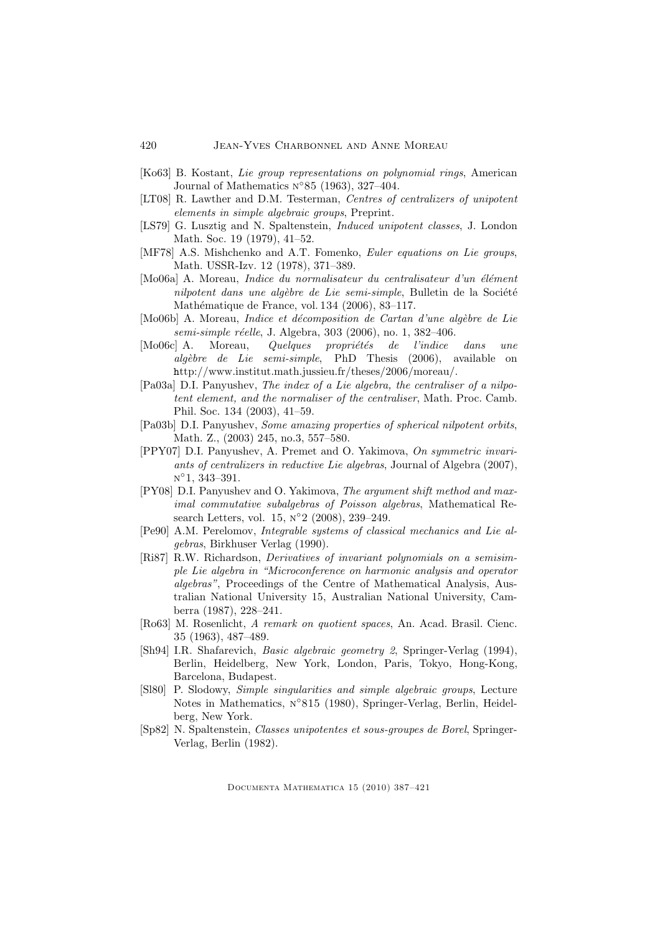- [Ko63] B. Kostant, Lie group representations on polynomial rings, American Journal of Mathematics  $N^{\circ}85$  (1963), 327-404.
- [LT08] R. Lawther and D.M. Testerman, Centres of centralizers of unipotent elements in simple algebraic groups, Preprint.
- [LS79] G. Lusztig and N. Spaltenstein, Induced unipotent classes, J. London Math. Soc. 19 (1979), 41–52.
- [MF78] A.S. Mishchenko and A.T. Fomenko, Euler equations on Lie groups, Math. USSR-Izv. 12 (1978), 371–389.
- [Mo06a] A. Moreau, *Indice du normalisateur du centralisateur d'un élément* nilpotent dans une algèbre de Lie semi-simple, Bulletin de la Société Mathématique de France, vol. 134 (2006), 83-117.
- $[Mo06b]$  A. Moreau, *Indice et décomposition de Cartan d'une algèbre de Lie* semi-simple réelle, J. Algebra, 303 (2006), no. 1, 382-406.
- $[Mo06c]$  A. Moreau, *Quelques propriétés de l'indice dans une* algèbre de Lie semi-simple, PhD Thesis (2006), available on http://www.institut.math.jussieu.fr/theses/2006/moreau/.
- [Pa03a] D.I. Panyushev, The index of a Lie algebra, the centraliser of a nilpotent element, and the normaliser of the centraliser, Math. Proc. Camb. Phil. Soc. 134 (2003), 41–59.
- [Pa03b] D.I. Panyushev, Some amazing properties of spherical nilpotent orbits, Math. Z., (2003) 245, no.3, 557–580.
- [PPY07] D.I. Panyushev, A. Premet and O. Yakimova, On symmetric invariants of centralizers in reductive Lie algebras, Journal of Algebra (2007), n ◦1, 343–391.
- [PY08] D.I. Panyushev and O. Yakimova, The argument shift method and maximal commutative subalgebras of Poisson algebras, Mathematical Research Letters, vol. 15, N°2 (2008), 239–249.
- [Pe90] A.M. Perelomov, Integrable systems of classical mechanics and Lie algebras, Birkhuser Verlag (1990).
- [Ri87] R.W. Richardson, Derivatives of invariant polynomials on a semisimple Lie algebra in "Microconference on harmonic analysis and operator algebras", Proceedings of the Centre of Mathematical Analysis, Australian National University 15, Australian National University, Camberra (1987), 228–241.
- [Ro63] M. Rosenlicht, A remark on quotient spaces, An. Acad. Brasil. Cienc. 35 (1963), 487–489.
- [Sh94] I.R. Shafarevich, Basic algebraic geometry 2, Springer-Verlag (1994), Berlin, Heidelberg, New York, London, Paris, Tokyo, Hong-Kong, Barcelona, Budapest.
- [Sl80] P. Slodowy, Simple singularities and simple algebraic groups, Lecture Notes in Mathematics, N°815 (1980), Springer-Verlag, Berlin, Heidelberg, New York.
- [Sp82] N. Spaltenstein, Classes unipotentes et sous-groupes de Borel, Springer-Verlag, Berlin (1982).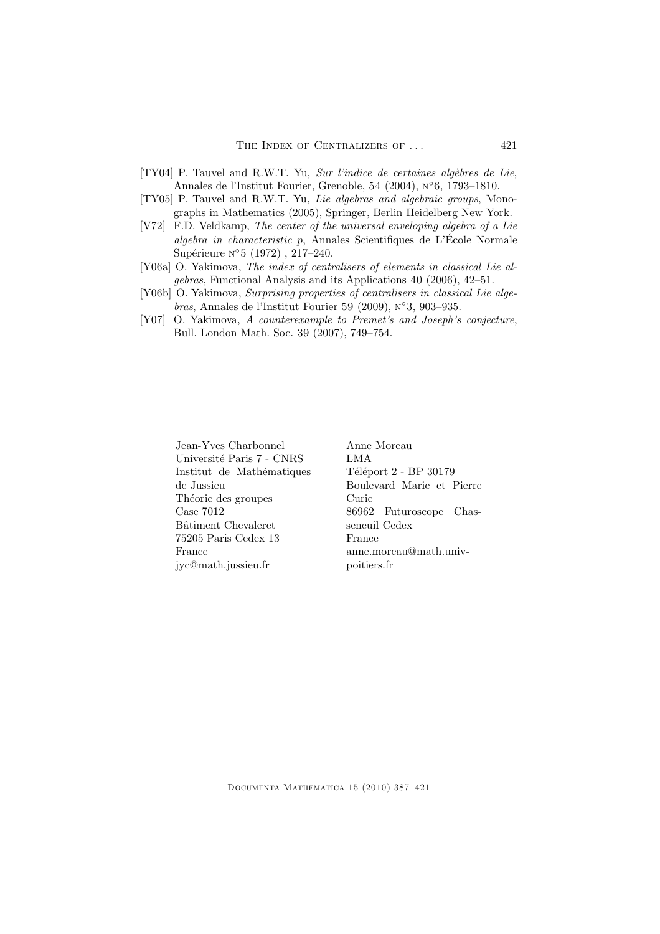- [TY04] P. Tauvel and R.W.T. Yu, Sur l'indice de certaines algèbres de Lie, Annales de l'Institut Fourier, Grenoble, 54 (2004), n ◦6, 1793–1810.
- [TY05] P. Tauvel and R.W.T. Yu, Lie algebras and algebraic groups, Monographs in Mathematics (2005), Springer, Berlin Heidelberg New York.
- [V72] F.D. Veldkamp, The center of the universal enveloping algebra of a Lie algebra in characteristic p, Annales Scientifiques de L'École Normale Supérieure  $N^{\circ}5(1972)$ , 217-240.
- [Y06a] O. Yakimova, The index of centralisers of elements in classical Lie algebras, Functional Analysis and its Applications 40 (2006), 42–51.
- [Y06b] O. Yakimova, Surprising properties of centralisers in classical Lie algebras, Annales de l'Institut Fourier 59 (2009), n ◦3, 903–935.
- [Y07] O. Yakimova, A counterexample to Premet's and Joseph's conjecture, Bull. London Math. Soc. 39 (2007), 749–754.

Jean-Yves Charbonnel Université Paris 7 - CNRS Institut de Mathématiques de Jussieu Théorie des groupes Case 7012 Bâtiment Chevaleret 75205 Paris Cedex 13 France jyc@math.jussieu.fr

Anne Moreau LMA Téléport 2 - BP 30179 Boulevard Marie et Pierre Curie 86962 Futuroscope Chasseneuil Cedex France anne.moreau@math.univpoitiers.fr